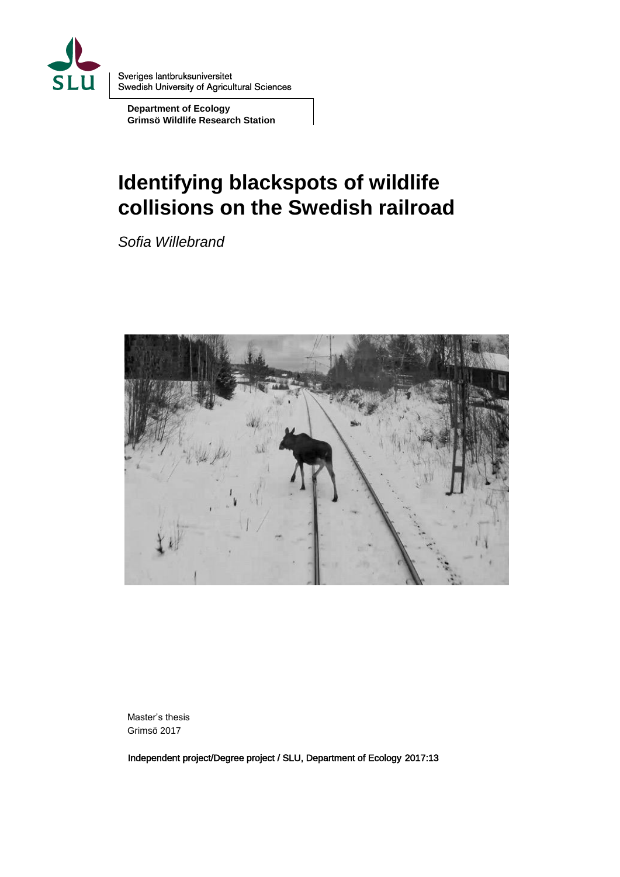

Sveriges lantbruksuniversitet **Swedish University of Agricultural Sciences** 

**Department of Ecology Grimsö Wildlife Research Station**

# **Identifying blackspots of wildlife collisions on the Swedish railroad**

*Sofia Willebrand*



Master's thesis Grimsö 2017

Independent project/Degree project / SLU, Department of Ecology 2017:13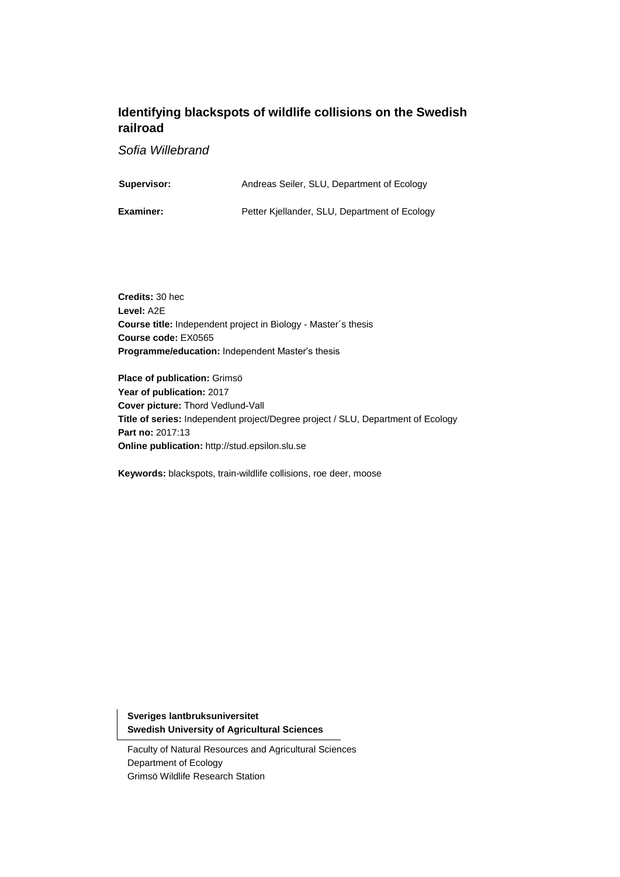### **Identifying blackspots of wildlife collisions on the Swedish railroad**

*Sofia Willebrand*

| <b>Supervisor:</b> | Andreas Seiler, SLU, Department of Ecology |
|--------------------|--------------------------------------------|
|                    |                                            |

**Examiner:** Petter Kjellander, SLU, Department of Ecology

**Credits:** 30 hec **Level:** A2E **Course title:** Independent project in Biology - Master´s thesis **Course code:** EX0565 **Programme/education:** Independent Master's thesis

**Place of publication:** Grimsö **Year of publication:** 2017 **Cover picture:** Thord Vedlund-Vall **Title of series:** Independent project/Degree project / SLU, Department of Ecology **Part no:** 2017:13 **Online publication:** http://stud.epsilon.slu.se

**Keywords:** blackspots, train-wildlife collisions, roe deer, moose

**Sveriges lantbruksuniversitet Swedish University of Agricultural Sciences**

Faculty of Natural Resources and Agricultural Sciences Department of Ecology Grimsö Wildlife Research Station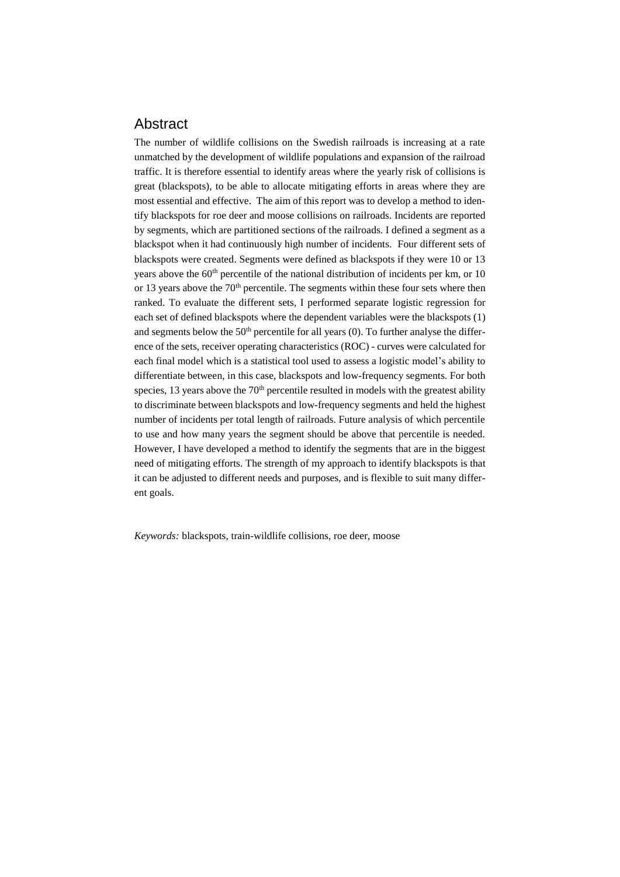#### Abstract

The number of wildlife collisions on the Swedish railroads is increasing at a rate unmatched by the development of wildlife populations and expansion of the railroad traffic. It is therefore essential to identify areas where the yearly risk of collisions is great (blackspots), to be able to allocate mitigating efforts in areas where they are most essential and effective. The aim of this report was to develop a method to identify blackspots for roe deer and moose collisions on railroads. Incidents are reported by segments, which are partitioned sections of the railroads. I defined a segment as a blackspot when it had continuously high number of incidents. Four different sets of blackspots were created. Segments were defined as blackspots if they were 10 or 13 years above the  $60<sup>th</sup>$  percentile of the national distribution of incidents per km, or 10 or 13 years above the  $70<sup>th</sup>$  percentile. The segments within these four sets where then ranked. To evaluate the different sets, I performed separate logistic regression for each set of defined blackspots where the dependent variables were the blackspots (1) and segments below the  $50<sup>th</sup>$  percentile for all years (0). To further analyse the difference of the sets, receiver operating characteristics (ROC) - curves were calculated for each final model which is a statistical tool used to assess a logistic model's ability to differentiate between, in this case, blackspots and low-frequency segments. For both species, 13 years above the  $70<sup>th</sup>$  percentile resulted in models with the greatest ability to discriminate between blackspots and low-frequency segments and held the highest number of incidents per total length of railroads. Future analysis of which percentile to use and how many years the segment should be above that percentile is needed. However, I have developed a method to identify the segments that are in the biggest need of mitigating efforts. The strength of my approach to identify blackspots is that it can be adjusted to different needs and purposes, and is flexible to suit many different goals.

*Keywords:* blackspots, train-wildlife collisions, roe deer, moose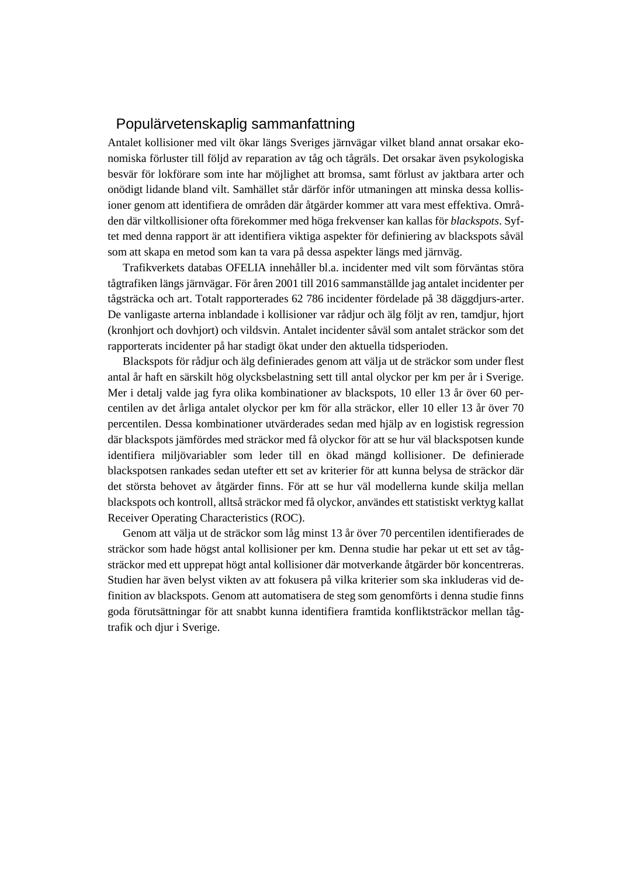#### Populärvetenskaplig sammanfattning

Antalet kollisioner med vilt ökar längs Sveriges järnvägar vilket bland annat orsakar ekonomiska förluster till följd av reparation av tåg och tågräls. Det orsakar även psykologiska besvär för lokförare som inte har möjlighet att bromsa, samt förlust av jaktbara arter och onödigt lidande bland vilt. Samhället står därför inför utmaningen att minska dessa kollisioner genom att identifiera de områden där åtgärder kommer att vara mest effektiva. Områden där viltkollisioner ofta förekommer med höga frekvenser kan kallas för *blackspots*. Syftet med denna rapport är att identifiera viktiga aspekter för definiering av blackspots såväl som att skapa en metod som kan ta vara på dessa aspekter längs med järnväg.

Trafikverkets databas OFELIA innehåller bl.a. incidenter med vilt som förväntas störa tågtrafiken längs järnvägar. För åren 2001 till 2016 sammanställde jag antalet incidenter per tågsträcka och art. Totalt rapporterades 62 786 incidenter fördelade på 38 däggdjurs-arter. De vanligaste arterna inblandade i kollisioner var rådjur och älg följt av ren, tamdjur, hjort (kronhjort och dovhjort) och vildsvin. Antalet incidenter såväl som antalet sträckor som det rapporterats incidenter på har stadigt ökat under den aktuella tidsperioden.

Blackspots för rådjur och älg definierades genom att välja ut de sträckor som under flest antal år haft en särskilt hög olycksbelastning sett till antal olyckor per km per år i Sverige. Mer i detalj valde jag fyra olika kombinationer av blackspots, 10 eller 13 år över 60 percentilen av det årliga antalet olyckor per km för alla sträckor, eller 10 eller 13 år över 70 percentilen. Dessa kombinationer utvärderades sedan med hjälp av en logistisk regression där blackspots jämfördes med sträckor med få olyckor för att se hur väl blackspotsen kunde identifiera miljövariabler som leder till en ökad mängd kollisioner. De definierade blackspotsen rankades sedan utefter ett set av kriterier för att kunna belysa de sträckor där det största behovet av åtgärder finns. För att se hur väl modellerna kunde skilja mellan blackspots och kontroll, alltså sträckor med få olyckor, användes ett statistiskt verktyg kallat Receiver Operating Characteristics (ROC).

Genom att välja ut de sträckor som låg minst 13 år över 70 percentilen identifierades de sträckor som hade högst antal kollisioner per km. Denna studie har pekar ut ett set av tågsträckor med ett upprepat högt antal kollisioner där motverkande åtgärder bör koncentreras. Studien har även belyst vikten av att fokusera på vilka kriterier som ska inkluderas vid definition av blackspots. Genom att automatisera de steg som genomförts i denna studie finns goda förutsättningar för att snabbt kunna identifiera framtida konfliktsträckor mellan tågtrafik och djur i Sverige.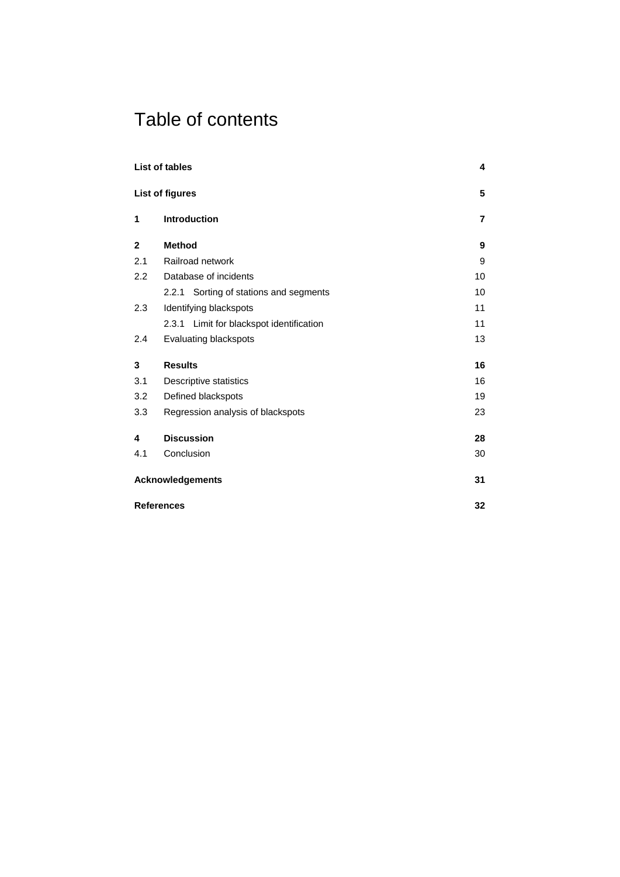## Table of contents

|                         | <b>List of tables</b>                    | 4  |  |  |
|-------------------------|------------------------------------------|----|--|--|
|                         | List of figures                          | 5  |  |  |
| 1                       | <b>Introduction</b>                      | 7  |  |  |
| $\mathbf{2}$            | <b>Method</b>                            | 9  |  |  |
| 2.1                     | Railroad network                         | 9  |  |  |
| 2.2                     | Database of incidents                    | 10 |  |  |
|                         | 2.2.1 Sorting of stations and segments   | 10 |  |  |
| 2.3                     | Identifying blackspots                   | 11 |  |  |
|                         | 2.3.1 Limit for blackspot identification | 11 |  |  |
| 2.4                     | Evaluating blackspots                    | 13 |  |  |
| 3                       | <b>Results</b>                           | 16 |  |  |
| 3.1                     | Descriptive statistics                   | 16 |  |  |
| 3.2                     | Defined blackspots                       | 19 |  |  |
| 3.3                     | Regression analysis of blackspots        | 23 |  |  |
| 4                       | <b>Discussion</b>                        | 28 |  |  |
| 4.1                     | Conclusion                               | 30 |  |  |
| <b>Acknowledgements</b> |                                          |    |  |  |
|                         | <b>References</b>                        | 32 |  |  |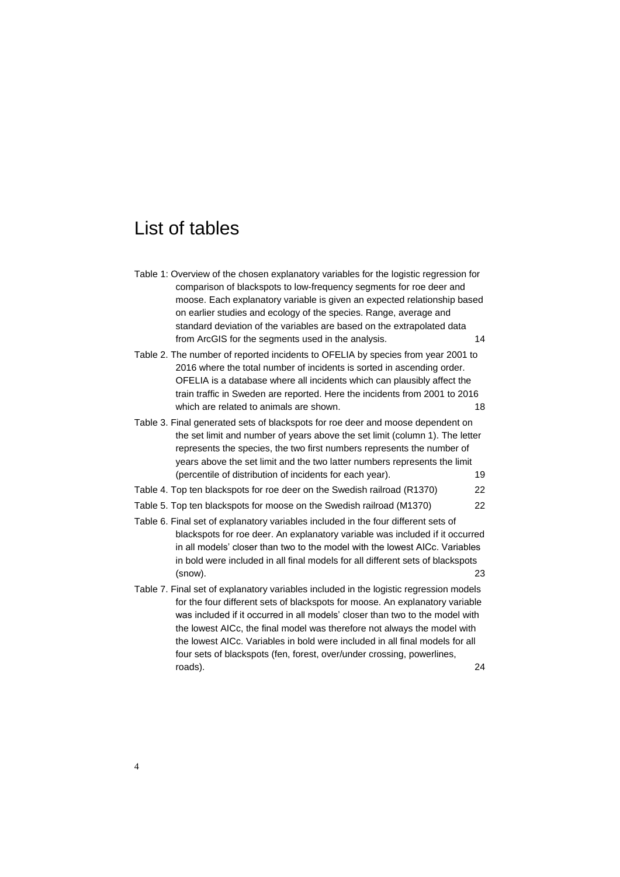## <span id="page-5-0"></span>List of tables

| Table 1: Overview of the chosen explanatory variables for the logistic regression for<br>comparison of blackspots to low-frequency segments for roe deer and                                                                                                                                                                                                                                                                                                                                 |    |
|----------------------------------------------------------------------------------------------------------------------------------------------------------------------------------------------------------------------------------------------------------------------------------------------------------------------------------------------------------------------------------------------------------------------------------------------------------------------------------------------|----|
| moose. Each explanatory variable is given an expected relationship based<br>on earlier studies and ecology of the species. Range, average and<br>standard deviation of the variables are based on the extrapolated data                                                                                                                                                                                                                                                                      |    |
| from ArcGIS for the segments used in the analysis.                                                                                                                                                                                                                                                                                                                                                                                                                                           | 14 |
| Table 2. The number of reported incidents to OFELIA by species from year 2001 to<br>2016 where the total number of incidents is sorted in ascending order.<br>OFELIA is a database where all incidents which can plausibly affect the<br>train traffic in Sweden are reported. Here the incidents from 2001 to 2016<br>which are related to animals are shown.                                                                                                                               | 18 |
| Table 3. Final generated sets of blackspots for roe deer and moose dependent on<br>the set limit and number of years above the set limit (column 1). The letter<br>represents the species, the two first numbers represents the number of<br>years above the set limit and the two latter numbers represents the limit<br>(percentile of distribution of incidents for each year).                                                                                                           | 19 |
| Table 4. Top ten blackspots for roe deer on the Swedish railroad (R1370)                                                                                                                                                                                                                                                                                                                                                                                                                     | 22 |
| Table 5. Top ten blackspots for moose on the Swedish railroad (M1370)                                                                                                                                                                                                                                                                                                                                                                                                                        | 22 |
| Table 6. Final set of explanatory variables included in the four different sets of<br>blackspots for roe deer. An explanatory variable was included if it occurred<br>in all models' closer than two to the model with the lowest AICc. Variables<br>in bold were included in all final models for all different sets of blackspots<br>(snow).                                                                                                                                               | 23 |
| Table 7. Final set of explanatory variables included in the logistic regression models<br>for the four different sets of blackspots for moose. An explanatory variable<br>was included if it occurred in all models' closer than two to the model with<br>the lowest AICc, the final model was therefore not always the model with<br>the lowest AICc. Variables in bold were included in all final models for all<br>four sets of blackspots (fen, forest, over/under crossing, powerlines, |    |
| roads).                                                                                                                                                                                                                                                                                                                                                                                                                                                                                      | 24 |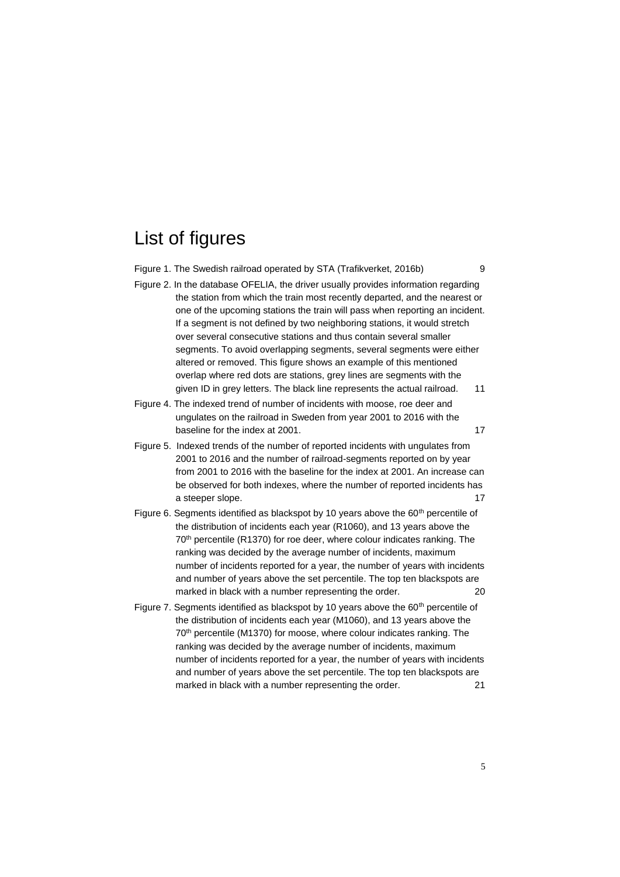# <span id="page-6-0"></span>List of figures

| Figure 1. The Swedish railroad operated by STA (Trafikverket, 2016b)                                                                                                                                                                                                                                                                                                                                                                                                                                                                                                                                                                                                                                      | 9  |
|-----------------------------------------------------------------------------------------------------------------------------------------------------------------------------------------------------------------------------------------------------------------------------------------------------------------------------------------------------------------------------------------------------------------------------------------------------------------------------------------------------------------------------------------------------------------------------------------------------------------------------------------------------------------------------------------------------------|----|
| Figure 2. In the database OFELIA, the driver usually provides information regarding<br>the station from which the train most recently departed, and the nearest or<br>one of the upcoming stations the train will pass when reporting an incident.<br>If a segment is not defined by two neighboring stations, it would stretch<br>over several consecutive stations and thus contain several smaller<br>segments. To avoid overlapping segments, several segments were either<br>altered or removed. This figure shows an example of this mentioned<br>overlap where red dots are stations, grey lines are segments with the<br>given ID in grey letters. The black line represents the actual railroad. | 11 |
| Figure 4. The indexed trend of number of incidents with moose, roe deer and<br>ungulates on the railroad in Sweden from year 2001 to 2016 with the<br>baseline for the index at 2001.                                                                                                                                                                                                                                                                                                                                                                                                                                                                                                                     | 17 |
| Figure 5. Indexed trends of the number of reported incidents with ungulates from<br>2001 to 2016 and the number of railroad-segments reported on by year<br>from 2001 to 2016 with the baseline for the index at 2001. An increase can<br>be observed for both indexes, where the number of reported incidents has<br>a steeper slope.                                                                                                                                                                                                                                                                                                                                                                    | 17 |
| Figure 6. Segments identified as blackspot by 10 years above the 60 <sup>th</sup> percentile of<br>the distribution of incidents each year (R1060), and 13 years above the<br>70 <sup>th</sup> percentile (R1370) for roe deer, where colour indicates ranking. The<br>ranking was decided by the average number of incidents, maximum<br>number of incidents reported for a year, the number of years with incidents<br>and number of years above the set percentile. The top ten blackspots are<br>marked in black with a number representing the order.                                                                                                                                                | 20 |
| Figure 7. Segments identified as blackspot by 10 years above the 60 <sup>th</sup> percentile of<br>the distribution of incidents each year (M1060), and 13 years above the<br>70 <sup>th</sup> percentile (M1370) for moose, where colour indicates ranking. The<br>ranking was decided by the average number of incidents, maximum<br>number of incidents reported for a year, the number of years with incidents<br>and number of years above the set percentile. The top ten blackspots are<br>marked in black with a number representing the order.                                                                                                                                                   | 21 |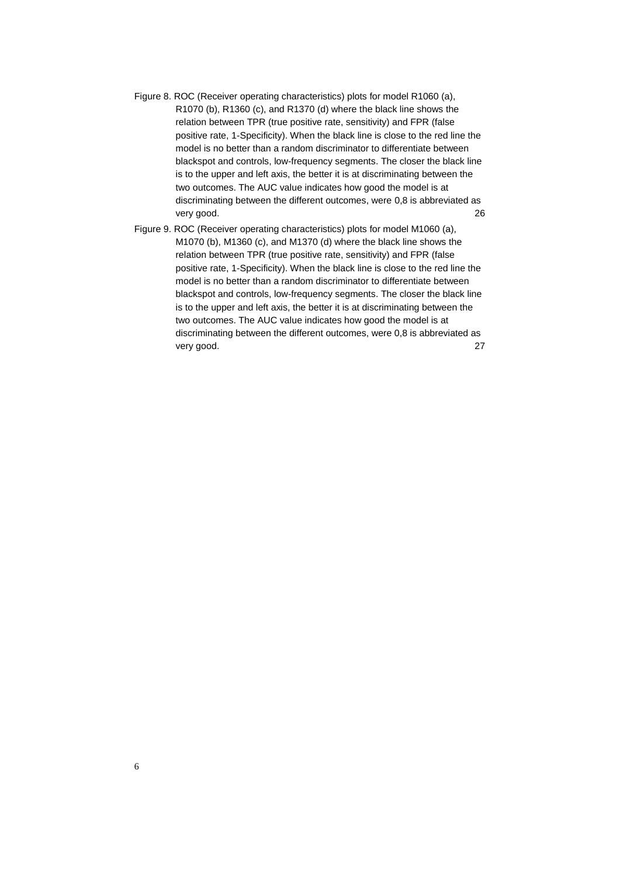- [Figure 8. ROC \(Receiver operating characteristics\) plots for model R1060 \(a\),](#page-27-0)  [R1070 \(b\), R1360 \(c\), and R1370 \(d\) where the black line shows the](#page-27-0)  [relation between TPR \(true positive rate, sensitivity\) and FPR \(false](#page-27-0)  [positive rate, 1-Specificity\). When the black line is close to the red line the](#page-27-0)  [model is no better than a random discriminator to differentiate between](#page-27-0)  [blackspot and controls, low-frequency segments. The closer the black line](#page-27-0)  [is to the upper and left axis, the better it is at discriminating between the](#page-27-0)  [two outcomes. The AUC value indicates how good the model is at](#page-27-0)  [discriminating between the different outcomes, were](#page-27-0) 0,8 is abbreviated as [very good.](#page-27-0) 26
- [Figure 9. ROC \(Receiver operating characteristics\) plots for model M1060 \(a\),](#page-28-0)  [M1070 \(b\), M1360 \(c\), and M1370 \(d\) where the black line shows the](#page-28-0)  [relation between TPR \(true positive rate, sensitivity\) and FPR \(false](#page-28-0)  [positive rate, 1-Specificity\). When the black line is close to the red line the](#page-28-0)  [model is no better than a random discriminator to differentiate between](#page-28-0)  [blackspot and controls, low-frequency segments. The closer the black line](#page-28-0)  [is to the upper and left axis, the better it is at discriminating between the](#page-28-0)  [two outcomes. The AUC value indicates how good the model is at](#page-28-0)  [discriminating between the different outcomes, were 0,8 is abbreviated as](#page-28-0)  [very good.](#page-28-0) 27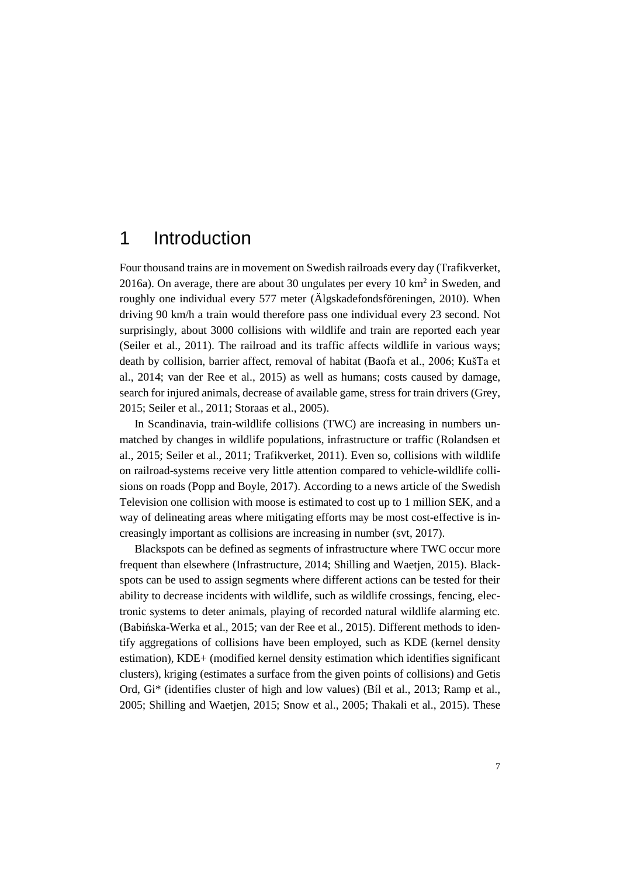## <span id="page-8-0"></span>1 Introduction

Four thousand trains are in movement on Swedish railroads every day (Trafikverket, 2016a). On average, there are about 30 ungulates per every  $10 \text{ km}^2$  in Sweden, and roughly one individual every 577 meter (Älgskadefondsföreningen, 2010). When driving 90 km/h a train would therefore pass one individual every 23 second. Not surprisingly, about 3000 collisions with wildlife and train are reported each year (Seiler et al., 2011). The railroad and its traffic affects wildlife in various ways; death by collision, barrier affect, removal of habitat (Baofa et al., 2006; KušTa et al., 2014; van der Ree et al., 2015) as well as humans; costs caused by damage, search for injured animals, decrease of available game, stress for train drivers (Grey, 2015; Seiler et al., 2011; Storaas et al., 2005).

In Scandinavia, train-wildlife collisions (TWC) are increasing in numbers unmatched by changes in wildlife populations, infrastructure or traffic (Rolandsen et al., 2015; Seiler et al., 2011; Trafikverket, 2011). Even so, collisions with wildlife on railroad-systems receive very little attention compared to vehicle-wildlife collisions on roads (Popp and Boyle, 2017). According to a news article of the Swedish Television one collision with moose is estimated to cost up to 1 million SEK, and a way of delineating areas where mitigating efforts may be most cost-effective is increasingly important as collisions are increasing in number (svt, 2017).

Blackspots can be defined as segments of infrastructure where TWC occur more frequent than elsewhere (Infrastructure, 2014; Shilling and Waetjen, 2015). Blackspots can be used to assign segments where different actions can be tested for their ability to decrease incidents with wildlife, such as wildlife crossings, fencing, electronic systems to deter animals, playing of recorded natural wildlife alarming etc. (Babińska-Werka et al., 2015; van der Ree et al., 2015). Different methods to identify aggregations of collisions have been employed, such as KDE (kernel density estimation), KDE+ (modified kernel density estimation which identifies significant clusters), kriging (estimates a surface from the given points of collisions) and Getis Ord, Gi\* (identifies cluster of high and low values) (Bíl et al., 2013; Ramp et al., 2005; Shilling and Waetjen, 2015; Snow et al., 2005; Thakali et al., 2015). These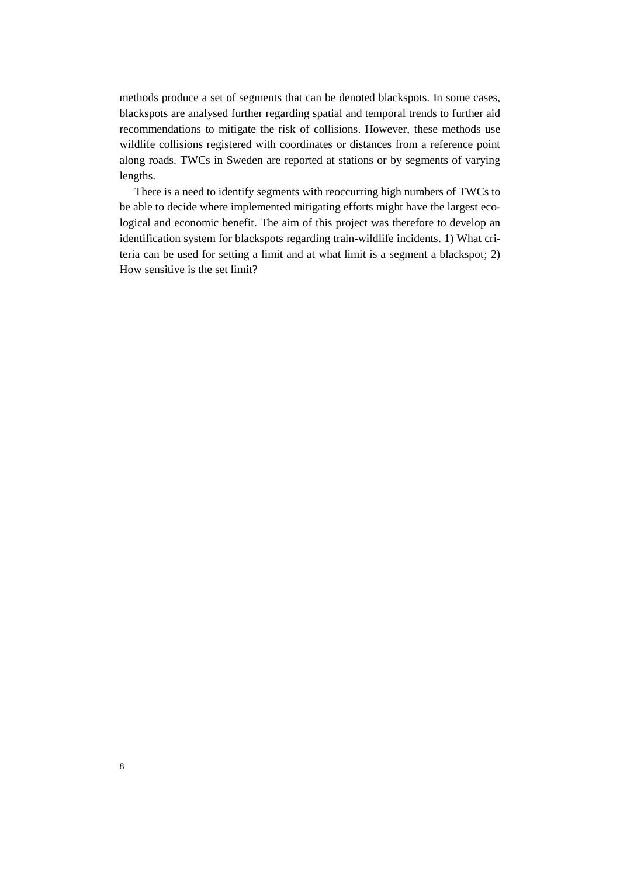methods produce a set of segments that can be denoted blackspots. In some cases, blackspots are analysed further regarding spatial and temporal trends to further aid recommendations to mitigate the risk of collisions. However, these methods use wildlife collisions registered with coordinates or distances from a reference point along roads. TWCs in Sweden are reported at stations or by segments of varying lengths.

There is a need to identify segments with reoccurring high numbers of TWCs to be able to decide where implemented mitigating efforts might have the largest ecological and economic benefit. The aim of this project was therefore to develop an identification system for blackspots regarding train-wildlife incidents. 1) What criteria can be used for setting a limit and at what limit is a segment a blackspot; 2) How sensitive is the set limit?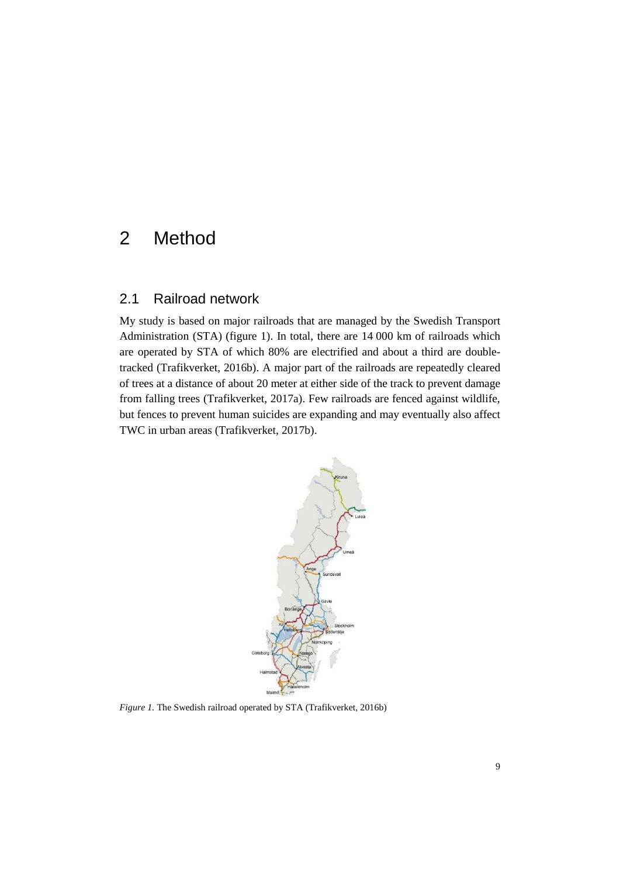## <span id="page-10-1"></span><span id="page-10-0"></span>2 Method

#### 2.1 Railroad network

My study is based on major railroads that are managed by the Swedish Transport Administration (STA) (figure 1). In total, there are 14 000 km of railroads which are operated by STA of which 80% are electrified and about a third are doubletracked (Trafikverket, 2016b). A major part of the railroads are repeatedly cleared of trees at a distance of about 20 meter at either side of the track to prevent damage from falling trees (Trafikverket, 2017a). Few railroads are fenced against wildlife, but fences to prevent human suicides are expanding and may eventually also affect TWC in urban areas (Trafikverket, 2017b).



<span id="page-10-2"></span>*Figure 1.* The Swedish railroad operated by STA (Trafikverket, 2016b)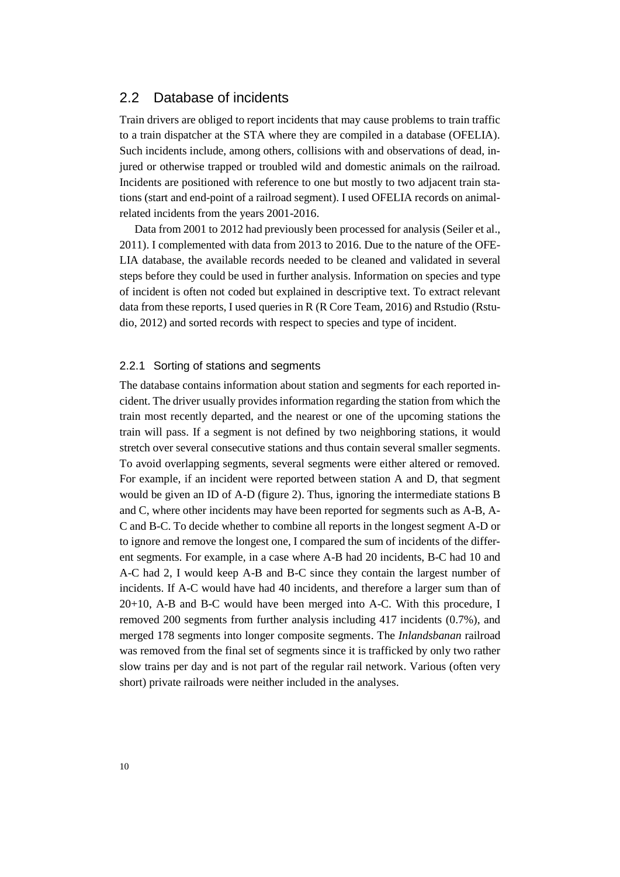#### <span id="page-11-0"></span>2.2 Database of incidents

Train drivers are obliged to report incidents that may cause problems to train traffic to a train dispatcher at the STA where they are compiled in a database (OFELIA). Such incidents include, among others, collisions with and observations of dead, injured or otherwise trapped or troubled wild and domestic animals on the railroad. Incidents are positioned with reference to one but mostly to two adjacent train stations (start and end-point of a railroad segment). I used OFELIA records on animalrelated incidents from the years 2001-2016.

Data from 2001 to 2012 had previously been processed for analysis (Seiler et al., 2011). I complemented with data from 2013 to 2016. Due to the nature of the OFE-LIA database, the available records needed to be cleaned and validated in several steps before they could be used in further analysis. Information on species and type of incident is often not coded but explained in descriptive text. To extract relevant data from these reports, I used queries in R (R Core Team, 2016) and Rstudio (Rstudio, 2012) and sorted records with respect to species and type of incident.

#### <span id="page-11-1"></span>2.2.1 Sorting of stations and segments

The database contains information about station and segments for each reported incident. The driver usually provides information regarding the station from which the train most recently departed, and the nearest or one of the upcoming stations the train will pass. If a segment is not defined by two neighboring stations, it would stretch over several consecutive stations and thus contain several smaller segments. To avoid overlapping segments, several segments were either altered or removed. For example, if an incident were reported between station A and D, that segment would be given an ID of A-D (figure 2). Thus, ignoring the intermediate stations B and C, where other incidents may have been reported for segments such as A-B, A-C and B-C. To decide whether to combine all reports in the longest segment A-D or to ignore and remove the longest one, I compared the sum of incidents of the different segments. For example, in a case where A-B had 20 incidents, B-C had 10 and A-C had 2, I would keep A-B and B-C since they contain the largest number of incidents. If A-C would have had 40 incidents, and therefore a larger sum than of 20+10, A-B and B-C would have been merged into A-C. With this procedure, I removed 200 segments from further analysis including 417 incidents (0.7%), and merged 178 segments into longer composite segments. The *Inlandsbanan* railroad was removed from the final set of segments since it is trafficked by only two rather slow trains per day and is not part of the regular rail network. Various (often very short) private railroads were neither included in the analyses.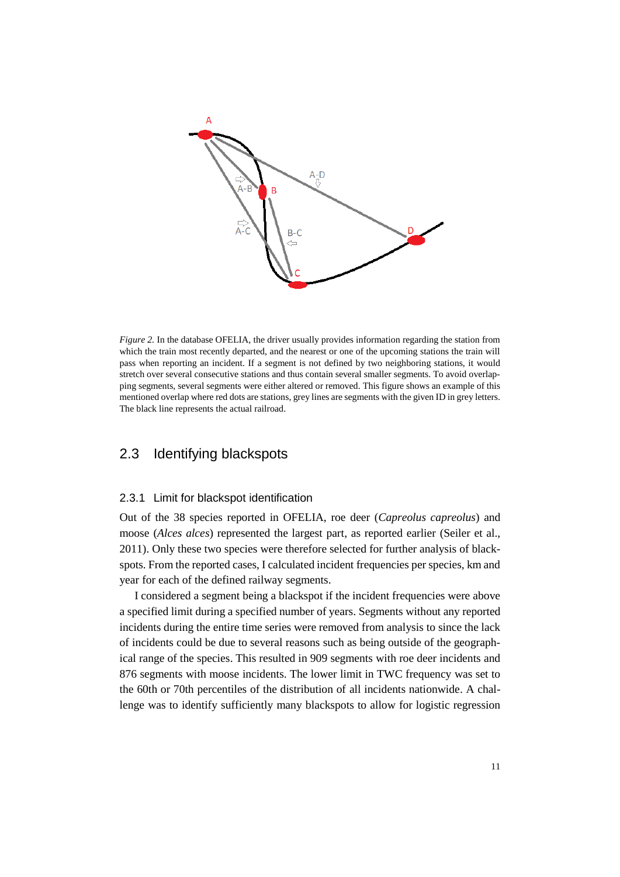

<span id="page-12-2"></span>*Figure 2.* In the database OFELIA, the driver usually provides information regarding the station from which the train most recently departed, and the nearest or one of the upcoming stations the train will pass when reporting an incident. If a segment is not defined by two neighboring stations, it would stretch over several consecutive stations and thus contain several smaller segments. To avoid overlapping segments, several segments were either altered or removed. This figure shows an example of this mentioned overlap where red dots are stations, grey lines are segments with the given ID in grey letters. The black line represents the actual railroad.

#### <span id="page-12-1"></span><span id="page-12-0"></span>2.3 Identifying blackspots

#### 2.3.1 Limit for blackspot identification

Out of the 38 species reported in OFELIA, roe deer (*Capreolus capreolus*) and moose (*Alces alces*) represented the largest part, as reported earlier (Seiler et al., 2011). Only these two species were therefore selected for further analysis of blackspots. From the reported cases, I calculated incident frequencies per species, km and year for each of the defined railway segments.

I considered a segment being a blackspot if the incident frequencies were above a specified limit during a specified number of years. Segments without any reported incidents during the entire time series were removed from analysis to since the lack of incidents could be due to several reasons such as being outside of the geographical range of the species. This resulted in 909 segments with roe deer incidents and 876 segments with moose incidents. The lower limit in TWC frequency was set to the 60th or 70th percentiles of the distribution of all incidents nationwide. A challenge was to identify sufficiently many blackspots to allow for logistic regression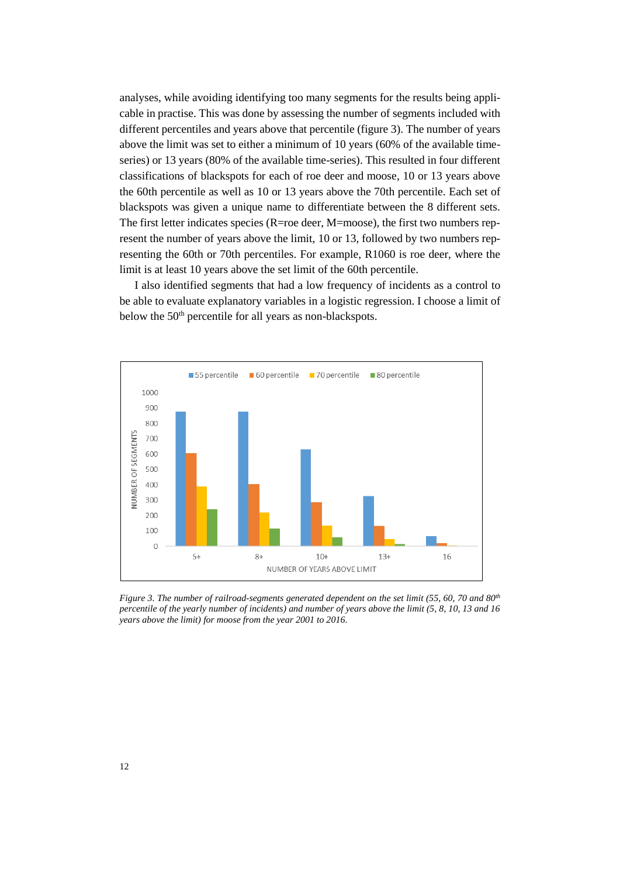analyses, while avoiding identifying too many segments for the results being applicable in practise. This was done by assessing the number of segments included with different percentiles and years above that percentile (figure 3). The number of years above the limit was set to either a minimum of 10 years (60% of the available timeseries) or 13 years (80% of the available time-series). This resulted in four different classifications of blackspots for each of roe deer and moose, 10 or 13 years above the 60th percentile as well as 10 or 13 years above the 70th percentile. Each set of blackspots was given a unique name to differentiate between the 8 different sets. The first letter indicates species (R=roe deer, M=moose), the first two numbers represent the number of years above the limit, 10 or 13, followed by two numbers representing the 60th or 70th percentiles. For example, R1060 is roe deer, where the limit is at least 10 years above the set limit of the 60th percentile.

I also identified segments that had a low frequency of incidents as a control to be able to evaluate explanatory variables in a logistic regression. I choose a limit of below the 50<sup>th</sup> percentile for all years as non-blackspots.



*Figure 3. The number of railroad-segments generated dependent on the set limit (55, 60, 70 and 80th percentile of the yearly number of incidents) and number of years above the limit (5, 8, 10, 13 and 16 years above the limit) for moose from the year 2001 to 2016.*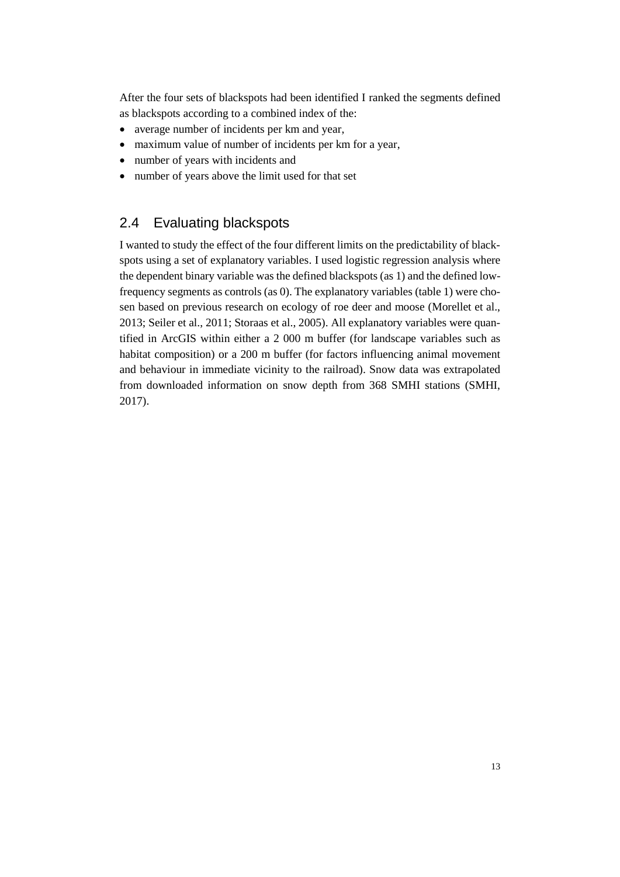After the four sets of blackspots had been identified I ranked the segments defined as blackspots according to a combined index of the:

- average number of incidents per km and year,
- maximum value of number of incidents per km for a year,
- number of years with incidents and
- <span id="page-14-0"></span>• number of years above the limit used for that set

### 2.4 Evaluating blackspots

I wanted to study the effect of the four different limits on the predictability of blackspots using a set of explanatory variables. I used logistic regression analysis where the dependent binary variable was the defined blackspots (as 1) and the defined lowfrequency segments as controls (as 0). The explanatory variables (table 1) were chosen based on previous research on ecology of roe deer and moose (Morellet et al., 2013; Seiler et al., 2011; Storaas et al., 2005). All explanatory variables were quantified in ArcGIS within either a 2 000 m buffer (for landscape variables such as habitat composition) or a 200 m buffer (for factors influencing animal movement and behaviour in immediate vicinity to the railroad). Snow data was extrapolated from downloaded information on snow depth from 368 SMHI stations (SMHI, 2017).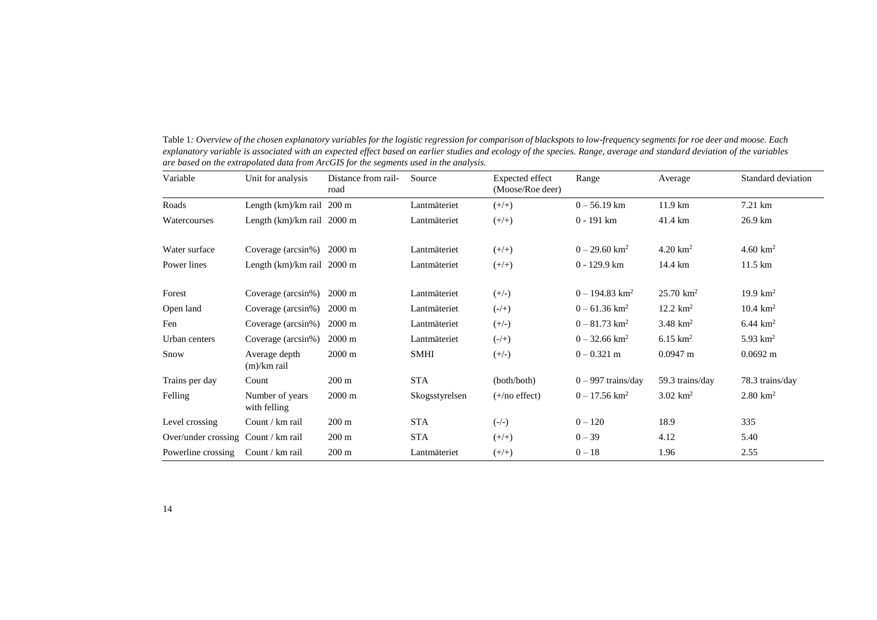<span id="page-15-0"></span>

| Variable                            | Unit for analysis               | Distance from rail-<br>road | Source         | Expected effect<br>(Moose/Roe deer) | Range                        | Average              | Standard deviation  |
|-------------------------------------|---------------------------------|-----------------------------|----------------|-------------------------------------|------------------------------|----------------------|---------------------|
| Roads                               | Length $(km)/km$ rail 200 m     |                             | Lantmäteriet   | $(+/+)$                             | $0 - 56.19$ km               | $11.9 \text{ km}$    | 7.21 km             |
| Watercourses                        | Length (km)/km rail 2000 m      |                             | Lantmäteriet   | $(+/+)$                             | $0 - 191$ km                 | 41.4 km              | 26.9 km             |
| Water surface                       | Coverage ( $arcsin\%$ ) 2000 m  |                             | Lantmäteriet   | $(+/+)$                             | $0 - 29.60$ km <sup>2</sup>  | $4.20 \text{ km}^2$  | 4.60 $km^2$         |
| Power lines                         | Length $(km)/km$ rail 2000 m    |                             | Lantmäteriet   | $(+/+)$                             | $0 - 129.9$ km               | 14.4 km              | 11.5 km             |
| Forest                              | Coverage (arcsin%)              | $2000 \text{ m}$            | Lantmäteriet   | $(+/-)$                             | $0 - 194.83$ km <sup>2</sup> | $25.70 \text{ km}^2$ | 19.9 $km^2$         |
| Open land                           | Coverage (arcsin%)              | $2000 \text{ m}$            | Lantmäteriet   | $(-/+)$                             | $0 - 61.36$ km <sup>2</sup>  | $12.2 \text{ km}^2$  | $10.4 \text{ km}^2$ |
| Fen                                 | Coverage (arcsin%)              | $2000 \text{ m}$            | Lantmäteriet   | $(+/-)$                             | $0 - 81.73$ km <sup>2</sup>  | 3.48 $km^2$          | $6.44 \text{ km}^2$ |
| Urban centers                       | Coverage (arcsin%)              | $2000 \text{ m}$            | Lantmäteriet   | $(-/+)$                             | $0 - 32.66$ km <sup>2</sup>  | $6.15 \text{ km}^2$  | 5.93 $km^2$         |
| Snow                                | Average depth<br>$(m)/km$ rail  | $2000 \text{ m}$            | <b>SMHI</b>    | $(+/-)$                             | $0 - 0.321$ m                | $0.0947$ m           | $0.0692 \text{ m}$  |
| Trains per day                      | Count                           | $200 \text{ m}$             | <b>STA</b>     | (both/both)                         | $0 - 997$ trains/day         | 59.3 trains/day      | 78.3 trains/day     |
| Felling                             | Number of years<br>with felling | 2000 m                      | Skogsstyrelsen | $(+/no$ effect)                     | $0 - 17.56$ km <sup>2</sup>  | $3.02 \text{ km}^2$  | $2.80 \text{ km}^2$ |
| Level crossing                      | Count / km rail                 | $200 \text{ m}$             | <b>STA</b>     | $(-/-)$                             | $0 - 120$                    | 18.9                 | 335                 |
| Over/under crossing Count / km rail |                                 | $200 \text{ m}$             | <b>STA</b>     | $(+/+)$                             | $0 - 39$                     | 4.12                 | 5.40                |
| Powerline crossing                  | Count / km rail                 | $200 \text{ m}$             | Lantmäteriet   | $(+/+)$                             | $0 - 18$                     | 1.96                 | 2.55                |

Table 1*: Overview of the chosen explanatory variables for the logistic regression for comparison of blackspots to low-frequency segments for roe deer and moose. Each explanatory variable is associated with an expected effect based on earlier studies and ecology of the species. Range, average and standard deviation of the variables are based on the extrapolated data from ArcGIS for the segments used in the analysis.*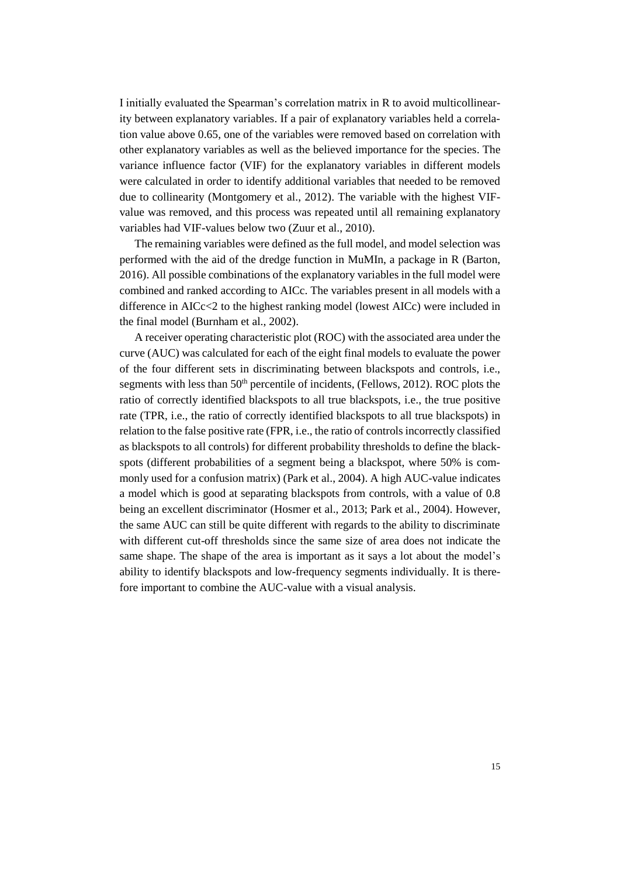I initially evaluated the Spearman's correlation matrix in R to avoid multicollinearity between explanatory variables. If a pair of explanatory variables held a correlation value above 0.65, one of the variables were removed based on correlation with other explanatory variables as well as the believed importance for the species. The variance influence factor (VIF) for the explanatory variables in different models were calculated in order to identify additional variables that needed to be removed due to collinearity (Montgomery et al., 2012). The variable with the highest VIFvalue was removed, and this process was repeated until all remaining explanatory variables had VIF-values below two (Zuur et al., 2010).

The remaining variables were defined as the full model, and model selection was performed with the aid of the dredge function in MuMIn, a package in R (Barton, 2016). All possible combinations of the explanatory variables in the full model were combined and ranked according to AICc. The variables present in all models with a difference in AICc<2 to the highest ranking model (lowest AICc) were included in the final model (Burnham et al., 2002).

A receiver operating characteristic plot (ROC) with the associated area under the curve (AUC) was calculated for each of the eight final models to evaluate the power of the four different sets in discriminating between blackspots and controls, i.e., segments with less than  $50<sup>th</sup>$  percentile of incidents, (Fellows, 2012). ROC plots the ratio of correctly identified blackspots to all true blackspots, i.e., the true positive rate (TPR, i.e., the ratio of correctly identified blackspots to all true blackspots) in relation to the false positive rate (FPR, i.e., the ratio of controlsincorrectly classified as blackspots to all controls) for different probability thresholds to define the blackspots (different probabilities of a segment being a blackspot, where 50% is commonly used for a confusion matrix) (Park et al., 2004). A high AUC-value indicates a model which is good at separating blackspots from controls, with a value of 0.8 being an excellent discriminator (Hosmer et al., 2013; Park et al., 2004). However, the same AUC can still be quite different with regards to the ability to discriminate with different cut-off thresholds since the same size of area does not indicate the same shape. The shape of the area is important as it says a lot about the model's ability to identify blackspots and low-frequency segments individually. It is therefore important to combine the AUC-value with a visual analysis.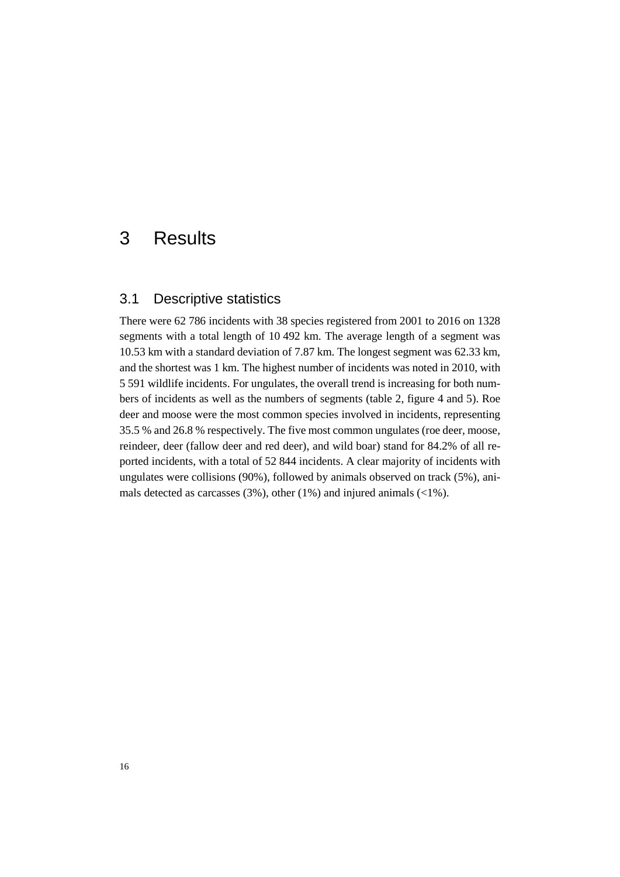## <span id="page-17-1"></span><span id="page-17-0"></span>3 Results

#### 3.1 Descriptive statistics

There were 62 786 incidents with 38 species registered from 2001 to 2016 on 1328 segments with a total length of 10 492 km. The average length of a segment was 10.53 km with a standard deviation of 7.87 km. The longest segment was 62.33 km, and the shortest was 1 km. The highest number of incidents was noted in 2010, with 5 591 wildlife incidents. For ungulates, the overall trend is increasing for both numbers of incidents as well as the numbers of segments (table 2, figure 4 and 5). Roe deer and moose were the most common species involved in incidents, representing 35.5 % and 26.8 % respectively. The five most common ungulates (roe deer, moose, reindeer, deer (fallow deer and red deer), and wild boar) stand for 84.2% of all reported incidents, with a total of 52 844 incidents. A clear majority of incidents with ungulates were collisions (90%), followed by animals observed on track (5%), animals detected as carcasses  $(3\%)$ , other  $(1\%)$  and injured animals  $(\langle 1\% \rangle)$ .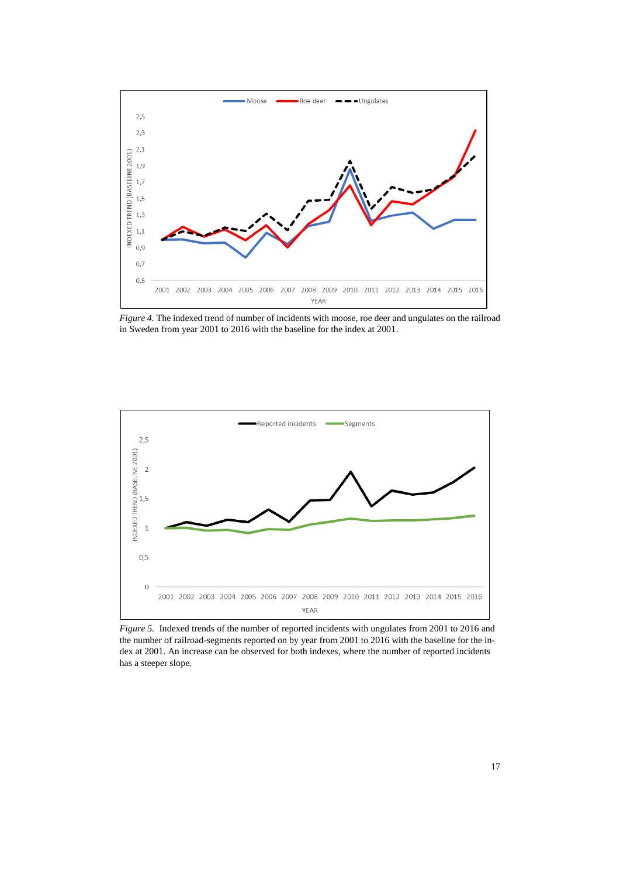

<span id="page-18-0"></span>*Figure 4.* The indexed trend of number of incidents with moose, roe deer and ungulates on the railroad in Sweden from year 2001 to 2016 with the baseline for the index at 2001.



<span id="page-18-1"></span>*Figure 5.* Indexed trends of the number of reported incidents with ungulates from 2001 to 2016 and the number of railroad-segments reported on by year from 2001 to 2016 with the baseline for the index at 2001. An increase can be observed for both indexes, where the number of reported incidents has a steeper slope.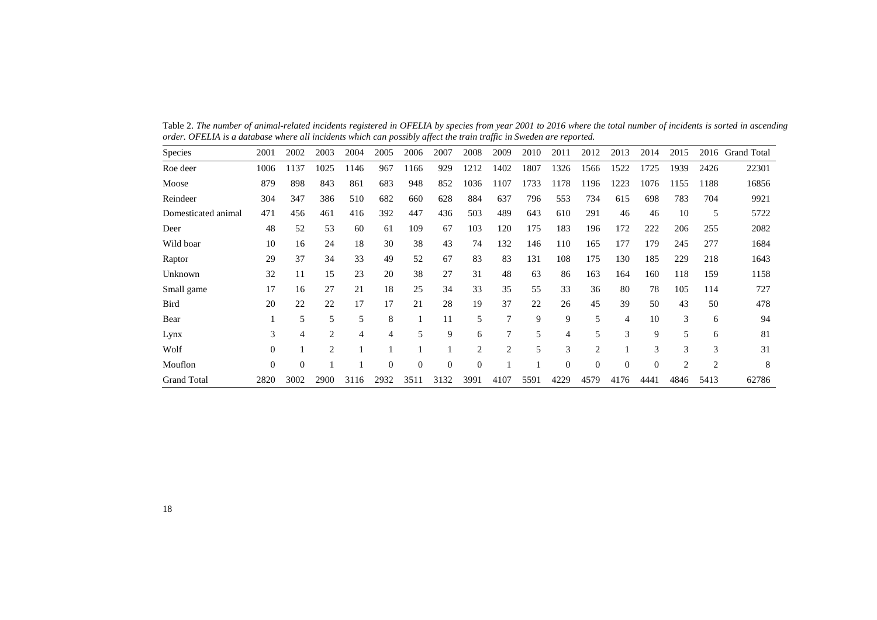Table 2. *The number of animal-related incidents registered in OFELIA by species from year 2001 to 2016 where the total number of incidents is sorted in ascending order. OFELIA is a database where all incidents which can possibly affect the train traffic in Sweden are reported.*

<span id="page-19-0"></span>

| <b>Species</b>      | 2001     | 2002     | 2003           | 2004 | 2005     | 2006     | 2007     | 2008           | 2009           | 2010 | 2011           | 2012           | 2013     | 2014           | 2015 | 2016           | <b>Grand Total</b> |
|---------------------|----------|----------|----------------|------|----------|----------|----------|----------------|----------------|------|----------------|----------------|----------|----------------|------|----------------|--------------------|
| Roe deer            | 1006     | 1137     | 1025           | 1146 | 967      | 1166     | 929      | 1212           | 1402           | 1807 | 1326           | 1566           | 1522     | 1725           | 1939 | 2426           | 22301              |
| Moose               | 879      | 898      | 843            | 861  | 683      | 948      | 852      | 1036           | 1107           | 1733 | 1178           | 1196           | 1223     | 1076           | 1155 | 1188           | 16856              |
| Reindeer            | 304      | 347      | 386            | 510  | 682      | 660      | 628      | 884            | 637            | 796  | 553            | 734            | 615      | 698            | 783  | 704            | 9921               |
| Domesticated animal | 471      | 456      | 461            | 416  | 392      | 447      | 436      | 503            | 489            | 643  | 610            | 291            | 46       | 46             | 10   | 5              | 5722               |
| Deer                | 48       | 52       | 53             | 60   | 61       | 109      | 67       | 103            | 120            | 175  | 183            | 196            | 172      | 222            | 206  | 255            | 2082               |
| Wild boar           | 10       | 16       | 24             | 18   | 30       | 38       | 43       | 74             | 132            | 146  | 110            | 165            | 177      | 179            | 245  | 277            | 1684               |
| Raptor              | 29       | 37       | 34             | 33   | 49       | 52       | 67       | 83             | 83             | 131  | 108            | 175            | 130      | 185            | 229  | 218            | 1643               |
| Unknown             | 32       | 11       | 15             | 23   | 20       | 38       | 27       | 31             | 48             | 63   | 86             | 163            | 164      | 160            | 118  | 159            | 1158               |
| Small game          | 17       | 16       | 27             | 21   | 18       | 25       | 34       | 33             | 35             | 55   | 33             | 36             | 80       | 78             | 105  | 114            | 727                |
| <b>Bird</b>         | 20       | 22       | 22             | 17   | 17       | 21       | 28       | 19             | 37             | 22   | 26             | 45             | 39       | 50             | 43   | 50             | 478                |
| Bear                |          | 5        | 5              | 5    | 8        |          | 11       | 5              | 7              | 9    | 9              | 5              | 4        | 10             | 3    | 6              | 94                 |
| Lynx                | 3        | 4        | $\overline{c}$ | 4    | 4        | 5        | 9        | 6              | 7              | 5    | $\overline{4}$ | 5              | 3        | 9              | 5    | 6              | 81                 |
| Wolf                | $\theta$ |          | $\overline{c}$ |      |          |          |          | $\overline{c}$ | $\overline{2}$ | 5    | 3              | $\overline{2}$ |          | 3              | 3    | 3              | 31                 |
| Mouflon             | $\theta$ | $\theta$ |                |      | $\theta$ | $\Omega$ | $\theta$ | $\theta$       |                |      | $\theta$       | $\theta$       | $\theta$ | $\overline{0}$ | 2    | $\overline{2}$ | 8                  |
| <b>Grand Total</b>  | 2820     | 3002     | 2900           | 3116 | 2932     | 3511     | 3132     | 3991           | 4107           | 5591 | 4229           | 4579           | 4176     | 4441           | 4846 | 5413           | 62786              |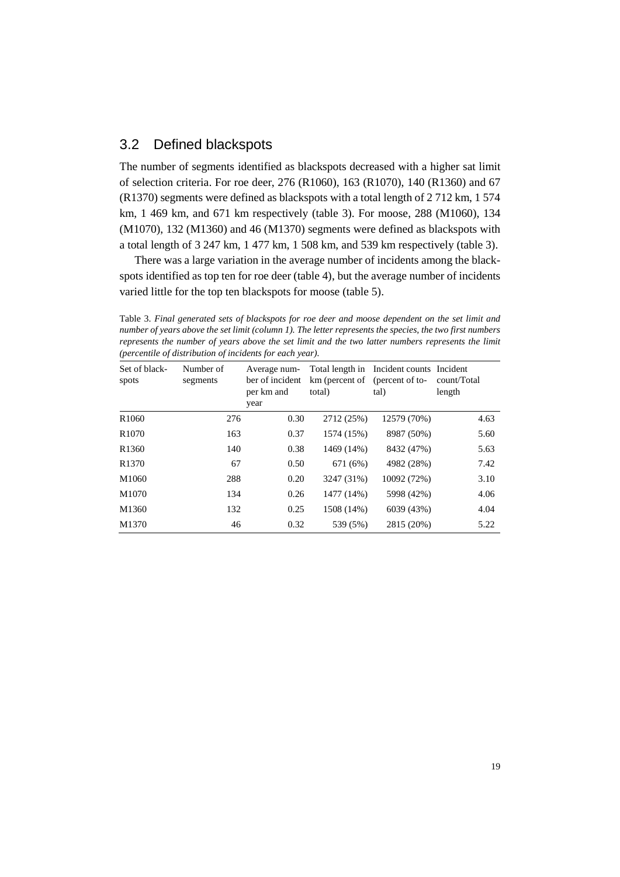#### <span id="page-20-0"></span>3.2 Defined blackspots

The number of segments identified as blackspots decreased with a higher sat limit of selection criteria. For roe deer, 276 (R1060), 163 (R1070), 140 (R1360) and 67 (R1370) segments were defined as blackspots with a total length of 2 712 km, 1 574 km, 1 469 km, and 671 km respectively (table 3). For moose, 288 (M1060), 134 (M1070), 132 (M1360) and 46 (M1370) segments were defined as blackspots with a total length of 3 247 km, 1 477 km, 1 508 km, and 539 km respectively (table 3).

There was a large variation in the average number of incidents among the blackspots identified as top ten for roe deer (table 4), but the average number of incidents varied little for the top ten blackspots for moose (table 5).

<span id="page-20-1"></span>Table 3. *Final generated sets of blackspots for roe deer and moose dependent on the set limit and number of years above the set limit (column 1). The letter represents the species, the two first numbers represents the number of years above the set limit and the two latter numbers represents the limit (percentile of distribution of incidents for each year).*

| Set of black-<br>spots | Number of<br>segments | Average num-<br>ber of incident<br>per km and<br>year | km (percent of (percent of to-<br>total) | Total length in Incident counts Incident<br>tal) | count/Total<br>length |
|------------------------|-----------------------|-------------------------------------------------------|------------------------------------------|--------------------------------------------------|-----------------------|
| R <sub>1060</sub>      | 276                   | 0.30                                                  | 2712 (25%)                               | 12579 (70%)                                      | 4.63                  |
| R <sub>1070</sub>      | 163                   | 0.37                                                  | 1574 (15%)                               | 8987 (50%)                                       | 5.60                  |
| R <sub>1360</sub>      | 140                   | 0.38                                                  | 1469 (14%)                               | 8432 (47%)                                       | 5.63                  |
| R <sub>1370</sub>      | 67                    | 0.50                                                  | 671 (6%)                                 | 4982 (28%)                                       | 7.42                  |
| M1060                  | 288                   | 0.20                                                  | 3247 (31%)                               | 10092 (72%)                                      | 3.10                  |
| M1070                  | 134                   | 0.26                                                  | 1477 (14%)                               | 5998 (42%)                                       | 4.06                  |
| M1360                  | 132                   | 0.25                                                  | 1508 (14%)                               | 6039 (43%)                                       | 4.04                  |
| M1370                  | 46                    | 0.32                                                  | 539 (5%)                                 | 2815 (20%)                                       | 5.22                  |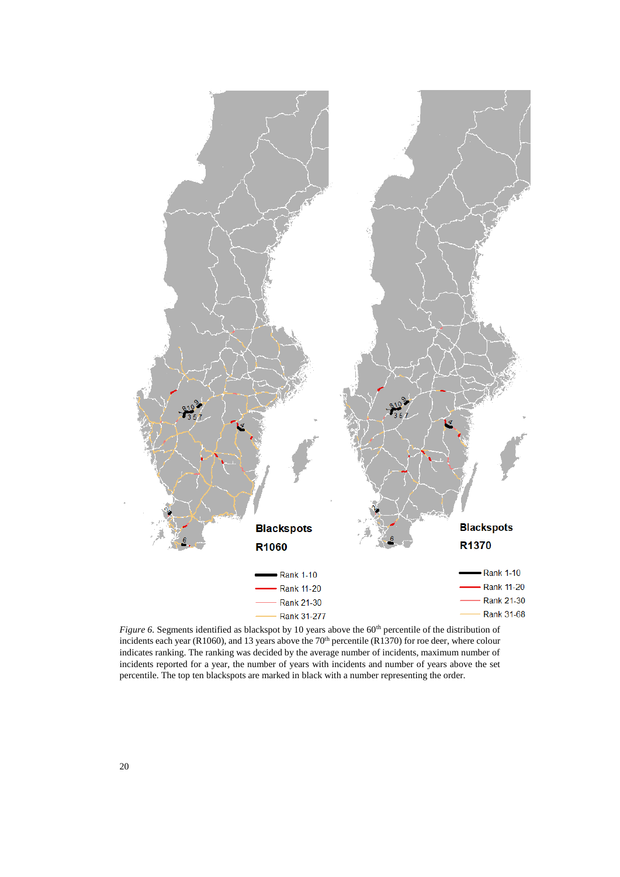

<span id="page-21-0"></span>*Figure* 6. Segments identified as blackspot by 10 years above the 60<sup>th</sup> percentile of the distribution of incidents each year (R1060), and 13 years above the 70<sup>th</sup> percentile (R1370) for roe deer, where colour indicates ranking. The ranking was decided by the average number of incidents, maximum number of incidents reported for a year, the number of years with incidents and number of years above the set percentile. The top ten blackspots are marked in black with a number representing the order.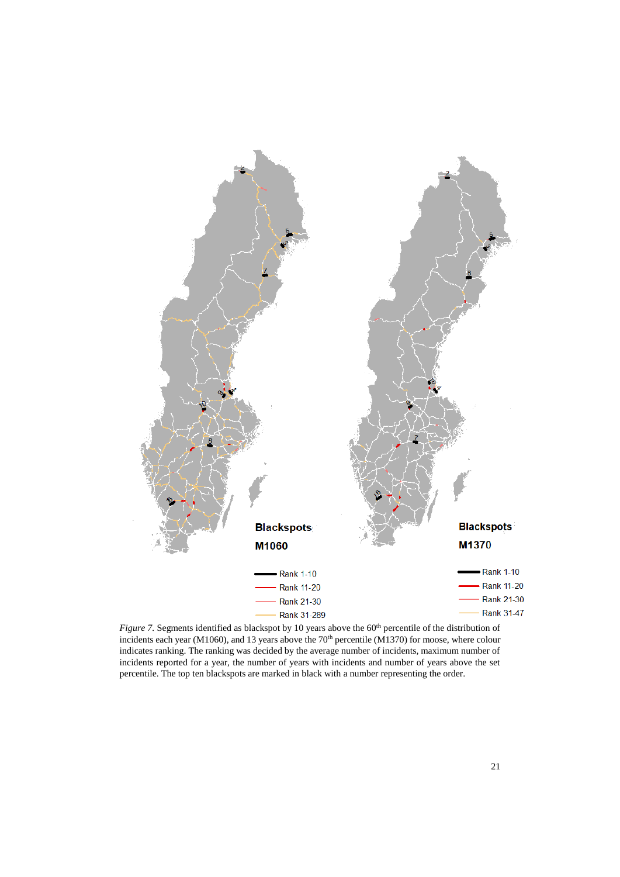

<span id="page-22-0"></span>*Figure* 7. Segments identified as blackspot by 10 years above the 60<sup>th</sup> percentile of the distribution of incidents each year (M1060), and 13 years above the 70<sup>th</sup> percentile (M1370) for moose, where colour indicates ranking. The ranking was decided by the average number of incidents, maximum number of incidents reported for a year, the number of years with incidents and number of years above the set percentile. The top ten blackspots are marked in black with a number representing the order.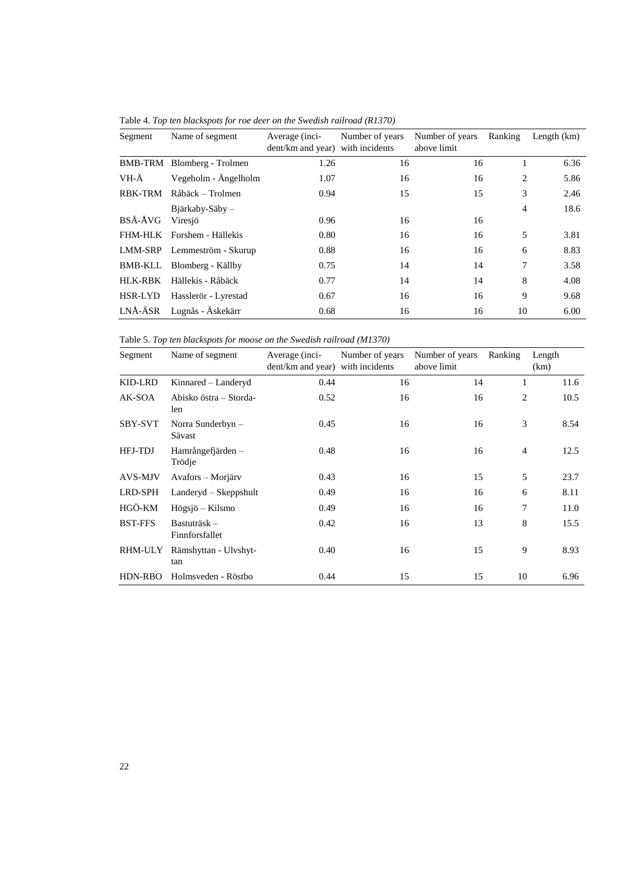| Segment | Name of segment             | Average (inci-<br>dent/km and year) with incidents | Number of years | Number of years<br>above limit | Ranking        | Length $(km)$ |
|---------|-----------------------------|----------------------------------------------------|-----------------|--------------------------------|----------------|---------------|
|         |                             |                                                    |                 |                                |                |               |
| BMB-TRM | Blomberg - Trolmen          | 1.26                                               | 16              | 16                             |                | 6.36          |
| VH-Ä    | Vegeholm - Ängelholm        | 1.07                                               | 16              | 16                             | 2              | 5.86          |
| RBK-TRM | Råbäck – Trolmen            | 0.94                                               | 15              | 15                             | 3              | 2.46          |
|         | $B$ järkaby-Säby –          |                                                    |                 |                                | $\overline{4}$ | 18.6          |
| BSÄ-ÅVG | Viresjö                     | 0.96                                               | 16              | 16                             |                |               |
|         | FHM-HLK Forshem - Hällekis  | 0.80                                               | 16              | 16                             | 5              | 3.81          |
|         | LMM-SRP Lemmeström - Skurup | 0.88                                               | 16              | 16                             | 6              | 8.83          |
|         | BMB-KLL Blomberg - Källby   | 0.75                                               | 14              | 14                             | 7              | 3.58          |
| HLK-RBK | Hällekis - Råbäck           | 0.77                                               | 14              | 14                             | 8              | 4.08          |
| HSR-LYD | Hasslerör - Lyrestad        | 0.67                                               | 16              | 16                             | 9              | 9.68          |
| LNÅ-ÄSR | Lugnås - Äskekärr           | 0.68                                               | 16              | 16                             | 10             | 6.00          |

<span id="page-23-0"></span>Table 4. *Top ten blackspots for roe deer on the Swedish railroad (R1370)*

<span id="page-23-1"></span>Table 5. *Top ten blackspots for moose on the Swedish railroad (M1370)*

| Segment        | Name of segment               | Average (inci-<br>dent/km and year) with incidents | Number of years | Number of years<br>above limit | Ranking        | Length<br>(km) |
|----------------|-------------------------------|----------------------------------------------------|-----------------|--------------------------------|----------------|----------------|
| KID-LRD        | Kinnared - Landeryd           | 0.44                                               | 16              | 14                             | 1              | 11.6           |
| AK-SOA         | Abisko östra – Storda-<br>len | 0.52                                               | 16              | 16                             | 2              | 10.5           |
| <b>SBY-SVT</b> | Norra Sunderbyn $-$<br>Sävast | 0.45                                               | 16              | 16                             | 3              | 8.54           |
| HFJ-TDJ        | Hamrångefjärden –<br>Trödje   | 0.48                                               | 16              | 16                             | $\overline{4}$ | 12.5           |
| AVS-MJV        | Avafors – Morjärv             | 0.43                                               | 16              | 15                             | 5              | 23.7           |
| LRD-SPH        | $Landeryd - Skeppshult$       | 0.49                                               | 16              | 16                             | 6              | 8.11           |
| HGÖ-KM         | Högsjö – Kilsmo               | 0.49                                               | 16              | 16                             | 7              | 11.0           |
| <b>BST-FFS</b> | Bastuträsk-<br>Finnforsfallet | 0.42                                               | 16              | 13                             | 8              | 15.5           |
| RHM-ULY        | Rämshyttan - Ulvshyt-<br>tan  | 0.40                                               | 16              | 15                             | 9              | 8.93           |
| HDN-RBO        | Holmsveden - Röstbo           | 0.44                                               | 15              | 15                             | 10             | 6.96           |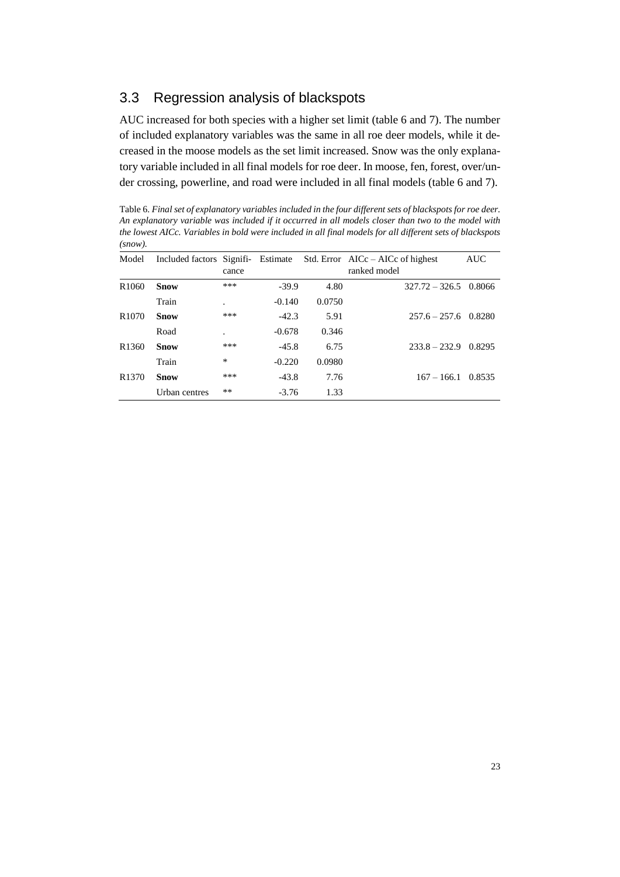### <span id="page-24-0"></span>3.3 Regression analysis of blackspots

AUC increased for both species with a higher set limit (table 6 and 7). The number of included explanatory variables was the same in all roe deer models, while it decreased in the moose models as the set limit increased. Snow was the only explanatory variable included in all final models for roe deer. In moose, fen, forest, over/under crossing, powerline, and road were included in all final models (table 6 and 7).

<span id="page-24-1"></span>Table 6. *Final set of explanatory variables included in the four different sets of blackspots for roe deer. An explanatory variable was included if it occurred in all models closer than two to the model with the lowest AICc. Variables in bold were included in all final models for all different sets of blackspots (snow).*

| Model             | Included factors Signifi- Estimate |         |          |        | Std. Error $AICc - AICc$ of highest | <b>AUC</b> |
|-------------------|------------------------------------|---------|----------|--------|-------------------------------------|------------|
|                   |                                    | cance   |          |        | ranked model                        |            |
| R <sub>1060</sub> | <b>Snow</b>                        | ***     | $-39.9$  | 4.80   | $327.72 - 326.5 \quad 0.8066$       |            |
|                   | Train                              | $\cdot$ | $-0.140$ | 0.0750 |                                     |            |
| R <sub>1070</sub> | <b>Snow</b>                        | ***     | $-42.3$  | 5.91   | $257.6 - 257.6$ 0.8280              |            |
|                   | Road                               |         | $-0.678$ | 0.346  |                                     |            |
| R <sub>1360</sub> | <b>Snow</b>                        | ***     | $-45.8$  | 6.75   | $233.8 - 232.9$                     | 0.8295     |
|                   | Train                              | ∗       | $-0.220$ | 0.0980 |                                     |            |
| R <sub>1370</sub> | <b>Snow</b>                        | ***     | $-43.8$  | 7.76   | $167 - 166.1$                       | 0.8535     |
|                   | Urban centres                      | **      | $-3.76$  | 1.33   |                                     |            |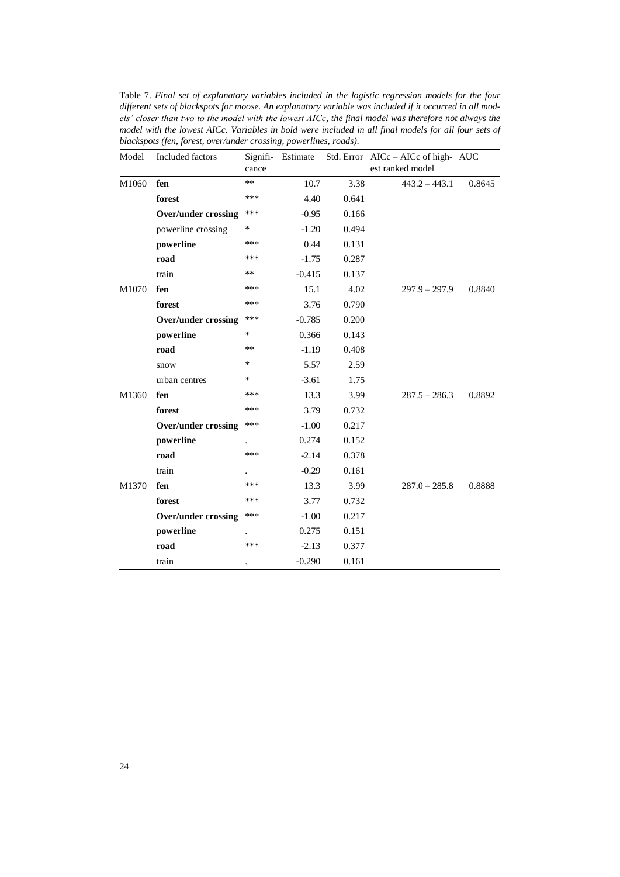<span id="page-25-0"></span>Table 7. *Final set of explanatory variables included in the logistic regression models for the four different sets of blackspots for moose. An explanatory variable was included if it occurred in all models' closer than two to the model with the lowest AICc, the final model was therefore not always the model with the lowest AICc. Variables in bold were included in all final models for all four sets of blackspots (fen, forest, over/under crossing, powerlines, roads).*

| Model | Included factors           |        | Signifi- Estimate |       | Std. Error AICc - AICc of high- AUC |        |
|-------|----------------------------|--------|-------------------|-------|-------------------------------------|--------|
|       |                            | cance  |                   |       | est ranked model                    |        |
| M1060 | fen                        | $***$  | 10.7              | 3.38  | $443.2 - 443.1$                     | 0.8645 |
|       | forest                     | ***    | 4.40              | 0.641 |                                     |        |
|       | <b>Over/under crossing</b> | ***    | $-0.95$           | 0.166 |                                     |        |
|       | powerline crossing         | $\ast$ | $-1.20$           | 0.494 |                                     |        |
|       | powerline                  | ***    | 0.44              | 0.131 |                                     |        |
|       | road                       | ***    | $-1.75$           | 0.287 |                                     |        |
|       | train                      | **     | $-0.415$          | 0.137 |                                     |        |
| M1070 | fen                        | ***    | 15.1              | 4.02  | $297.9 - 297.9$                     | 0.8840 |
|       | forest                     | ***    | 3.76              | 0.790 |                                     |        |
|       | <b>Over/under crossing</b> | ***    | $-0.785$          | 0.200 |                                     |        |
|       | powerline                  | *      | 0.366             | 0.143 |                                     |        |
|       | road                       | **     | $-1.19$           | 0.408 |                                     |        |
|       | snow                       | *      | 5.57              | 2.59  |                                     |        |
|       | urban centres              | ∗      | $-3.61$           | 1.75  |                                     |        |
| M1360 | fen                        | ***    | 13.3              | 3.99  | $287.5 - 286.3$                     | 0.8892 |
|       | forest                     | ***    | 3.79              | 0.732 |                                     |        |
|       | <b>Over/under crossing</b> | ***    | $-1.00$           | 0.217 |                                     |        |
|       | powerline                  |        | 0.274             | 0.152 |                                     |        |
|       | road                       | ***    | $-2.14$           | 0.378 |                                     |        |
|       | train                      |        | $-0.29$           | 0.161 |                                     |        |
| M1370 | fen                        | ***    | 13.3              | 3.99  | $287.0 - 285.8$                     | 0.8888 |
|       | forest                     | ***    | 3.77              | 0.732 |                                     |        |
|       | <b>Over/under crossing</b> | ***    | $-1.00$           | 0.217 |                                     |        |
|       | powerline                  |        | 0.275             | 0.151 |                                     |        |
|       | road                       | ***    | $-2.13$           | 0.377 |                                     |        |
|       | train                      |        | $-0.290$          | 0.161 |                                     |        |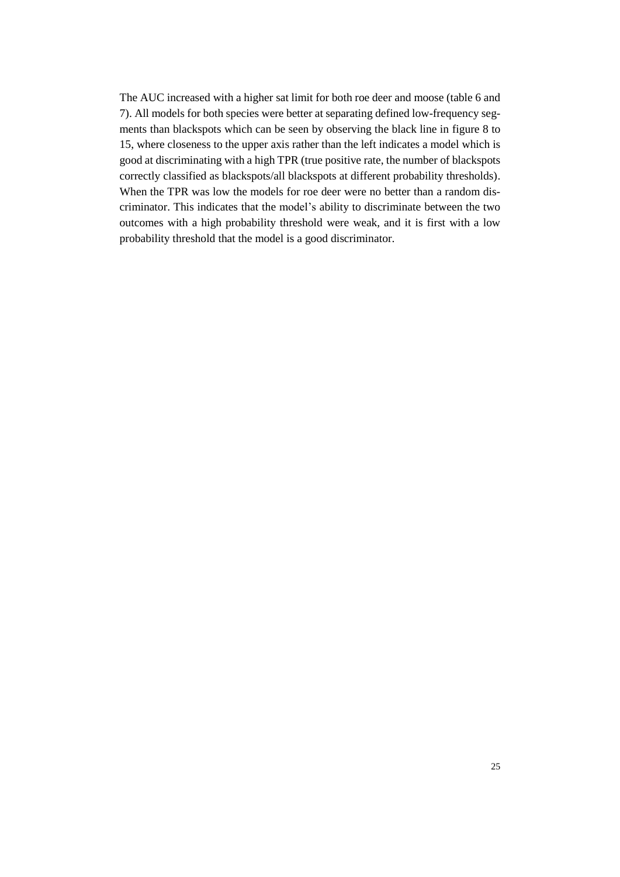The AUC increased with a higher sat limit for both roe deer and moose (table 6 and 7). All models for both species were better at separating defined low-frequency segments than blackspots which can be seen by observing the black line in figure 8 to 15, where closeness to the upper axis rather than the left indicates a model which is good at discriminating with a high TPR (true positive rate, the number of blackspots correctly classified as blackspots/all blackspots at different probability thresholds). When the TPR was low the models for roe deer were no better than a random discriminator. This indicates that the model's ability to discriminate between the two outcomes with a high probability threshold were weak, and it is first with a low probability threshold that the model is a good discriminator.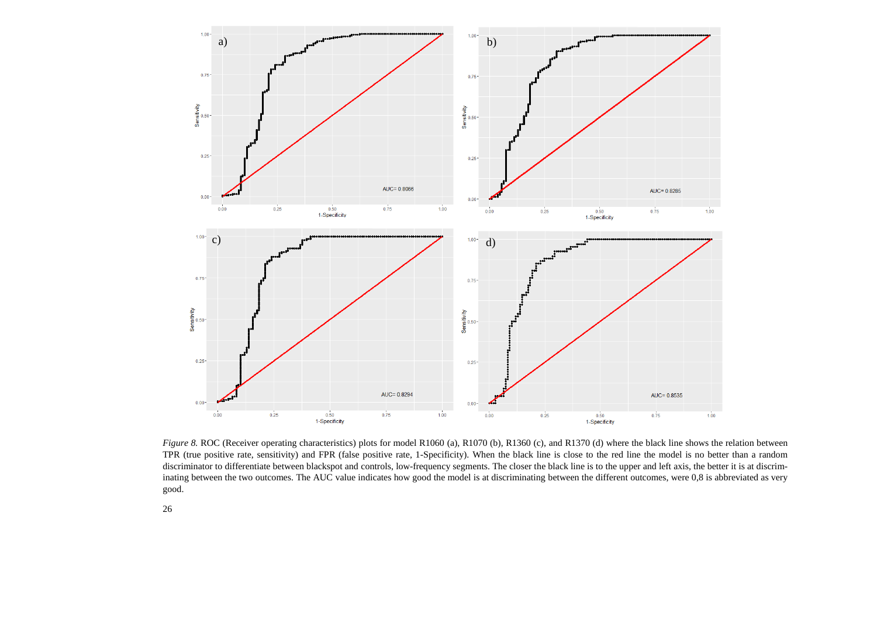

<span id="page-27-0"></span>*Figure* 8. ROC (Receiver operating characteristics) plots for model R1060 (a), R1070 (b), R1360 (c), and R1370 (d) where the black line shows the relation between TPR (true positive rate, sensitivity) and FPR (false positive rate, 1-Specificity). When the black line is close to the red line the model is no better than a random discriminator to differentiate between blackspot and controls, low-frequency segments. The closer the black line is to the upper and left axis, the better it is at discriminating between the two outcomes. The AUC value indicates how good the model is at discriminating between the different outcomes, were 0,8 is abbreviated as very good.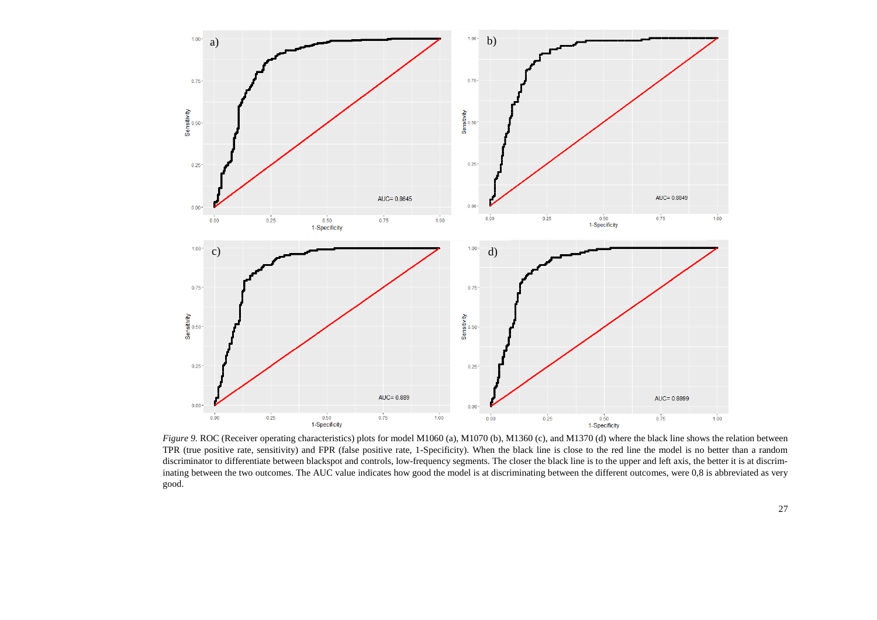

<span id="page-28-0"></span>*Figure* 9. ROC (Receiver operating characteristics) plots for model M1060 (a), M1070 (b), M1360 (c), and M1370 (d) where the black line shows the relation between TPR (true positive rate, sensitivity) and FPR (false positive rate, 1-Specificity). When the black line is close to the red line the model is no better than a random discriminator to differentiate between blackspot and controls, low-frequency segments. The closer the black line is to the upper and left axis, the better it is at discriminating between the two outcomes. The AUC value indicates how good the model is at discriminating between the different outcomes, were 0,8 is abbreviated as very good.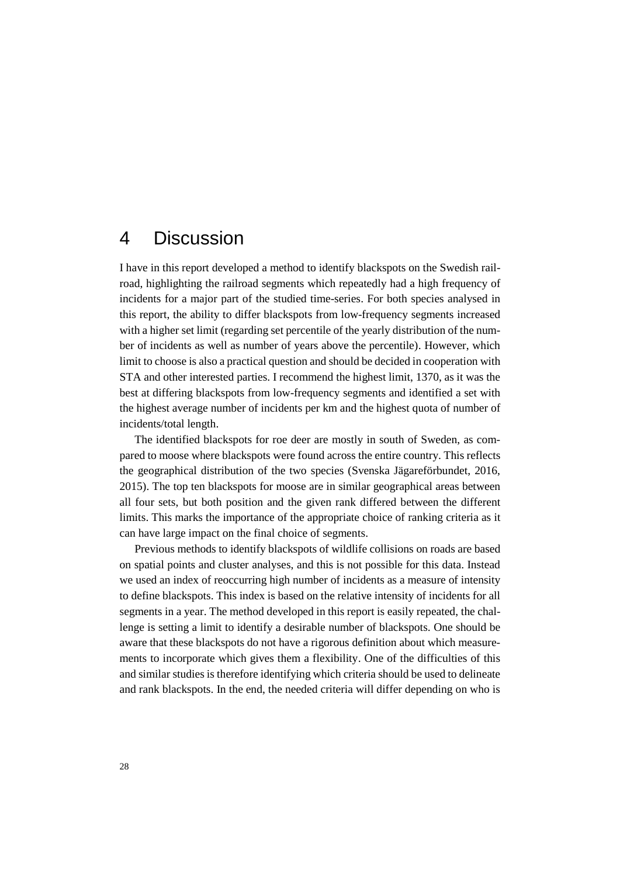### <span id="page-29-0"></span>4 Discussion

I have in this report developed a method to identify blackspots on the Swedish railroad, highlighting the railroad segments which repeatedly had a high frequency of incidents for a major part of the studied time-series. For both species analysed in this report, the ability to differ blackspots from low-frequency segments increased with a higher set limit (regarding set percentile of the yearly distribution of the number of incidents as well as number of years above the percentile). However, which limit to choose is also a practical question and should be decided in cooperation with STA and other interested parties. I recommend the highest limit, 1370, as it was the best at differing blackspots from low-frequency segments and identified a set with the highest average number of incidents per km and the highest quota of number of incidents/total length.

The identified blackspots for roe deer are mostly in south of Sweden, as compared to moose where blackspots were found across the entire country. This reflects the geographical distribution of the two species (Svenska Jägareförbundet, 2016, 2015). The top ten blackspots for moose are in similar geographical areas between all four sets, but both position and the given rank differed between the different limits. This marks the importance of the appropriate choice of ranking criteria as it can have large impact on the final choice of segments.

Previous methods to identify blackspots of wildlife collisions on roads are based on spatial points and cluster analyses, and this is not possible for this data. Instead we used an index of reoccurring high number of incidents as a measure of intensity to define blackspots. This index is based on the relative intensity of incidents for all segments in a year. The method developed in this report is easily repeated, the challenge is setting a limit to identify a desirable number of blackspots. One should be aware that these blackspots do not have a rigorous definition about which measurements to incorporate which gives them a flexibility. One of the difficulties of this and similar studies is therefore identifying which criteria should be used to delineate and rank blackspots. In the end, the needed criteria will differ depending on who is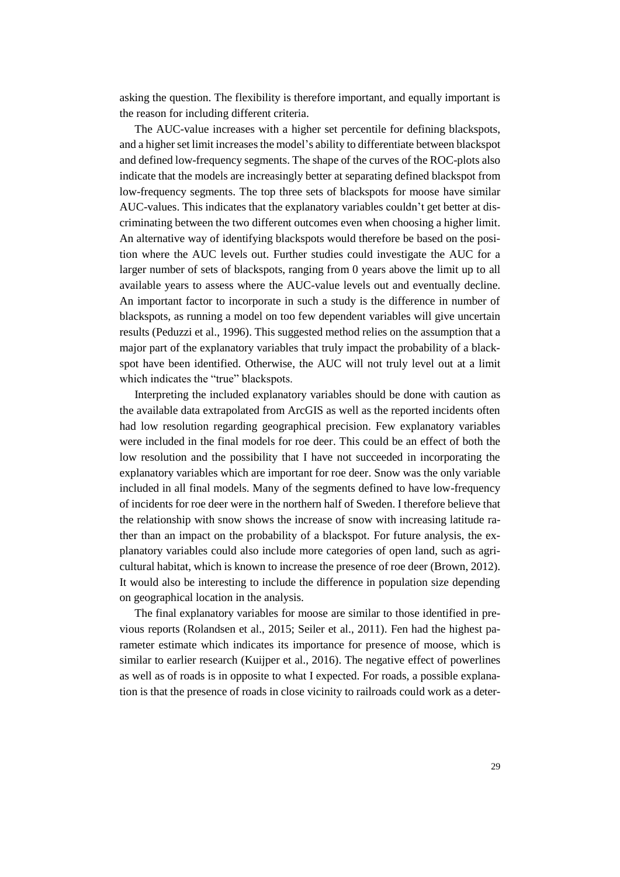asking the question. The flexibility is therefore important, and equally important is the reason for including different criteria.

The AUC-value increases with a higher set percentile for defining blackspots, and a higher set limit increases the model's ability to differentiate between blackspot and defined low-frequency segments. The shape of the curves of the ROC-plots also indicate that the models are increasingly better at separating defined blackspot from low-frequency segments. The top three sets of blackspots for moose have similar AUC-values. This indicates that the explanatory variables couldn't get better at discriminating between the two different outcomes even when choosing a higher limit. An alternative way of identifying blackspots would therefore be based on the position where the AUC levels out. Further studies could investigate the AUC for a larger number of sets of blackspots, ranging from 0 years above the limit up to all available years to assess where the AUC-value levels out and eventually decline. An important factor to incorporate in such a study is the difference in number of blackspots, as running a model on too few dependent variables will give uncertain results (Peduzzi et al., 1996). This suggested method relies on the assumption that a major part of the explanatory variables that truly impact the probability of a blackspot have been identified. Otherwise, the AUC will not truly level out at a limit which indicates the "true" blackspots.

Interpreting the included explanatory variables should be done with caution as the available data extrapolated from ArcGIS as well as the reported incidents often had low resolution regarding geographical precision. Few explanatory variables were included in the final models for roe deer. This could be an effect of both the low resolution and the possibility that I have not succeeded in incorporating the explanatory variables which are important for roe deer. Snow was the only variable included in all final models. Many of the segments defined to have low-frequency of incidents for roe deer were in the northern half of Sweden. I therefore believe that the relationship with snow shows the increase of snow with increasing latitude rather than an impact on the probability of a blackspot. For future analysis, the explanatory variables could also include more categories of open land, such as agricultural habitat, which is known to increase the presence of roe deer (Brown, 2012). It would also be interesting to include the difference in population size depending on geographical location in the analysis.

The final explanatory variables for moose are similar to those identified in previous reports (Rolandsen et al., 2015; Seiler et al., 2011). Fen had the highest parameter estimate which indicates its importance for presence of moose, which is similar to earlier research (Kuijper et al., 2016). The negative effect of powerlines as well as of roads is in opposite to what I expected. For roads, a possible explanation is that the presence of roads in close vicinity to railroads could work as a deter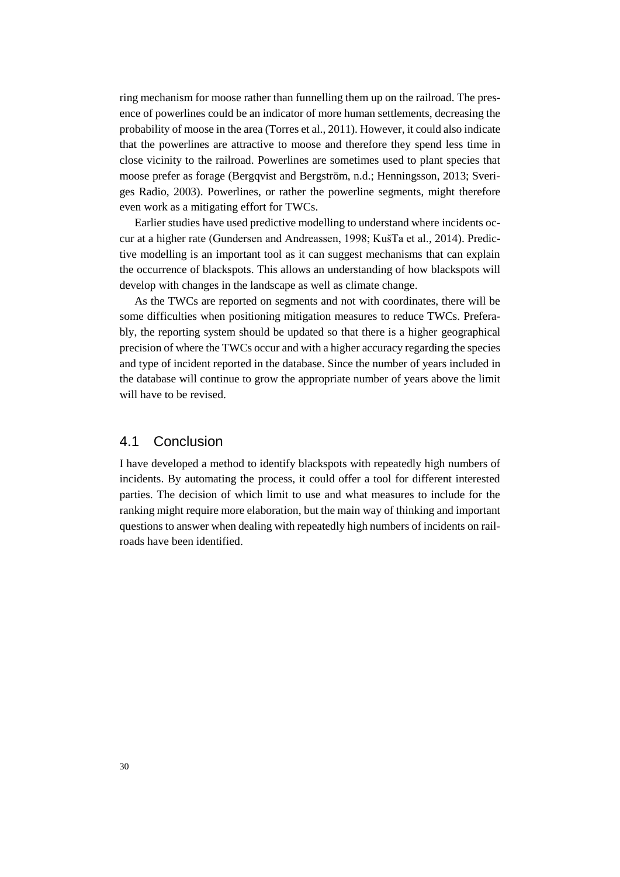ring mechanism for moose rather than funnelling them up on the railroad. The presence of powerlines could be an indicator of more human settlements, decreasing the probability of moose in the area (Torres et al., 2011). However, it could also indicate that the powerlines are attractive to moose and therefore they spend less time in close vicinity to the railroad. Powerlines are sometimes used to plant species that moose prefer as forage (Bergqvist and Bergström, n.d.; Henningsson, 2013; Sveriges Radio, 2003). Powerlines, or rather the powerline segments, might therefore even work as a mitigating effort for TWCs.

Earlier studies have used predictive modelling to understand where incidents occur at a higher rate (Gundersen and Andreassen, 1998; KušTa et al., 2014). Predictive modelling is an important tool as it can suggest mechanisms that can explain the occurrence of blackspots. This allows an understanding of how blackspots will develop with changes in the landscape as well as climate change.

As the TWCs are reported on segments and not with coordinates, there will be some difficulties when positioning mitigation measures to reduce TWCs. Preferably, the reporting system should be updated so that there is a higher geographical precision of where the TWCs occur and with a higher accuracy regarding the species and type of incident reported in the database. Since the number of years included in the database will continue to grow the appropriate number of years above the limit will have to be revised.

#### <span id="page-31-0"></span>4.1 Conclusion

I have developed a method to identify blackspots with repeatedly high numbers of incidents. By automating the process, it could offer a tool for different interested parties. The decision of which limit to use and what measures to include for the ranking might require more elaboration, but the main way of thinking and important questions to answer when dealing with repeatedly high numbers of incidents on railroads have been identified.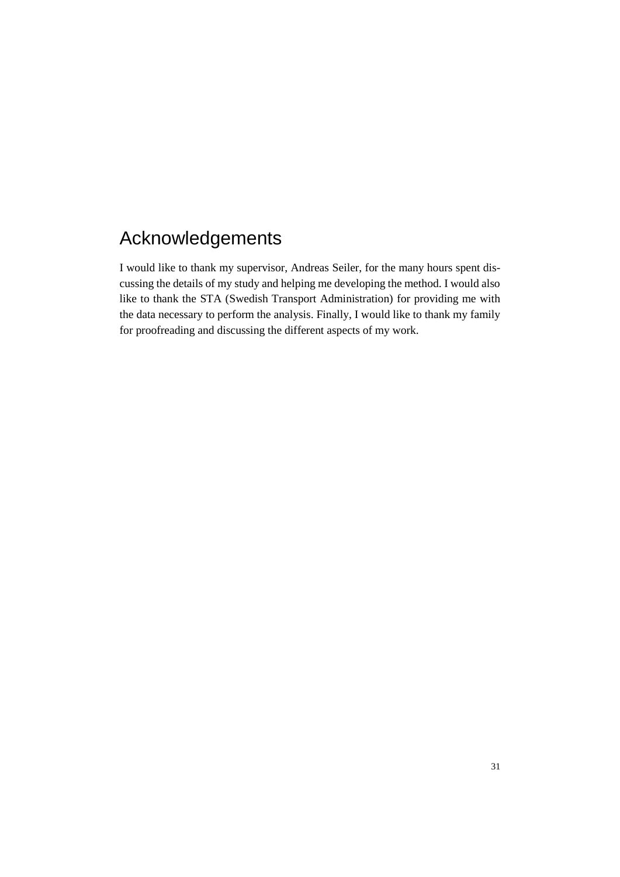## <span id="page-32-0"></span>Acknowledgements

I would like to thank my supervisor, Andreas Seiler, for the many hours spent discussing the details of my study and helping me developing the method. I would also like to thank the STA (Swedish Transport Administration) for providing me with the data necessary to perform the analysis. Finally, I would like to thank my family for proofreading and discussing the different aspects of my work.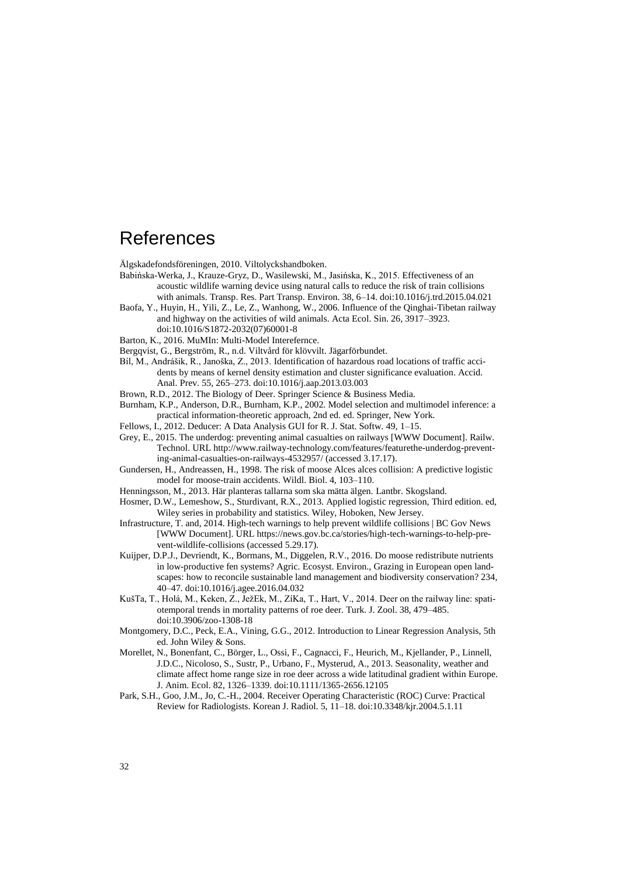### <span id="page-33-0"></span>References

Älgskadefondsföreningen, 2010. Viltolyckshandboken.

- Babińska-Werka, J., Krauze-Gryz, D., Wasilewski, M., Jasińska, K., 2015. Effectiveness of an acoustic wildlife warning device using natural calls to reduce the risk of train collisions with animals. Transp. Res. Part Transp. Environ. 38, 6–14. doi:10.1016/j.trd.2015.04.021
- Baofa, Y., Huyin, H., Yili, Z., Le, Z., Wanhong, W., 2006. Influence of the Qinghai-Tibetan railway and highway on the activities of wild animals. Acta Ecol. Sin. 26, 3917–3923.
	- doi:10.1016/S1872-2032(07)60001-8
- Barton, K., 2016. MuMIn: Multi-Model Interefernce.
- Bergqvist, G., Bergström, R., n.d. Viltvård för klövvilt. Jägarförbundet.
- Bíl, M., Andrášik, R., Janoška, Z., 2013. Identification of hazardous road locations of traffic accidents by means of kernel density estimation and cluster significance evaluation. Accid. Anal. Prev. 55, 265–273. doi:10.1016/j.aap.2013.03.003
- Brown, R.D., 2012. The Biology of Deer. Springer Science & Business Media.
- Burnham, K.P., Anderson, D.R., Burnham, K.P., 2002. Model selection and multimodel inference: a practical information-theoretic approach, 2nd ed. ed. Springer, New York.
- Fellows, I., 2012. Deducer: A Data Analysis GUI for R. J. Stat. Softw. 49, 1–15.
- Grey, E., 2015. The underdog: preventing animal casualties on railways [WWW Document]. Railw. Technol. URL http://www.railway-technology.com/features/featurethe-underdog-preventing-animal-casualties-on-railways-4532957/ (accessed 3.17.17).
- Gundersen, H., Andreassen, H., 1998. The risk of moose Alces alces collision: A predictive logistic model for moose-train accidents. Wildl. Biol. 4, 103–110.
- Henningsson, M., 2013. Här planteras tallarna som ska mätta älgen. Lantbr. Skogsland.
- Hosmer, D.W., Lemeshow, S., Sturdivant, R.X., 2013. Applied logistic regression, Third edition. ed, Wiley series in probability and statistics. Wiley, Hoboken, New Jersey.
- Infrastructure, T. and, 2014. High-tech warnings to help prevent wildlife collisions | BC Gov News [WWW Document]. URL https://news.gov.bc.ca/stories/high-tech-warnings-to-help-prevent-wildlife-collisions (accessed 5.29.17).
- Kuijper, D.P.J., Devriendt, K., Bormans, M., Diggelen, R.V., 2016. Do moose redistribute nutrients in low-productive fen systems? Agric. Ecosyst. Environ., Grazing in European open landscapes: how to reconcile sustainable land management and biodiversity conservation? 234, 40–47. doi:10.1016/j.agee.2016.04.032
- KušTa, T., Holá, M., Keken, Z., JežEk, M., ZíKa, T., Hart, V., 2014. Deer on the railway line: spatiotemporal trends in mortality patterns of roe deer. Turk. J. Zool. 38, 479–485. doi:10.3906/zoo-1308-18
- Montgomery, D.C., Peck, E.A., Vining, G.G., 2012. Introduction to Linear Regression Analysis, 5th ed. John Wiley & Sons.
- Morellet, N., Bonenfant, C., Börger, L., Ossi, F., Cagnacci, F., Heurich, M., Kjellander, P., Linnell, J.D.C., Nicoloso, S., Sustr, P., Urbano, F., Mysterud, A., 2013. Seasonality, weather and climate affect home range size in roe deer across a wide latitudinal gradient within Europe. J. Anim. Ecol. 82, 1326–1339. doi:10.1111/1365-2656.12105
- Park, S.H., Goo, J.M., Jo, C.-H., 2004. Receiver Operating Characteristic (ROC) Curve: Practical Review for Radiologists. Korean J. Radiol. 5, 11–18. doi:10.3348/kjr.2004.5.1.11